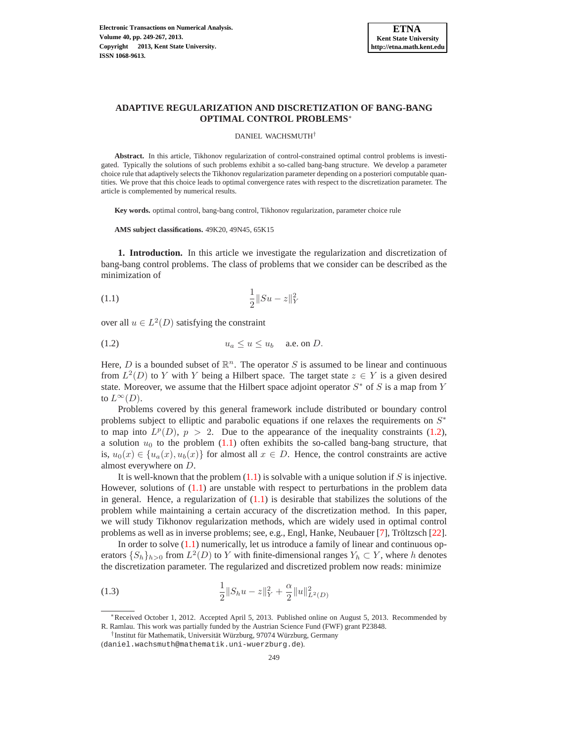

# **ADAPTIVE REGULARIZATION AND DISCRETIZATION OF BANG-BANG OPTIMAL CONTROL PROBLEMS**<sup>∗</sup>

DANIEL WACHSMUTH†

**Abstract.** In this article, Tikhonov regularization of control-constrained optimal control problems is investigated. Typically the solutions of such problems exhibit a so-called bang-bang structure. We develop a parameter choice rule that adaptively selects the Tikhonov regularization parameter depending on a posteriori computable quantities. We prove that this choice leads to optimal convergence rates with respect to the discretization parameter. The article is complemented by numerical results.

**Key words.** optimal control, bang-bang control, Tikhonov regularization, parameter choice rule

<span id="page-0-1"></span>**AMS subject classifications.** 49K20, 49N45, 65K15

**1. Introduction.** In this article we investigate the regularization and discretization of bang-bang control problems. The class of problems that we consider can be described as the minimization of

$$
\frac{1}{2} \|Su - z\|_{Y}^{2}
$$

<span id="page-0-0"></span>over all  $u \in L^2(D)$  satisfying the constraint

$$
(1.2) \t\t u_a \le u \le u_b \t a.e. \t{on } D.
$$

Here, D is a bounded subset of  $\mathbb{R}^n$ . The operator S is assumed to be linear and continuous from  $L^2(D)$  to Y with Y being a Hilbert space. The target state  $z \in Y$  is a given desired state. Moreover, we assume that the Hilbert space adjoint operator  $S^*$  of S is a map from Y to  $L^{\infty}(D)$ .

Problems covered by this general framework include distributed or boundary control problems subject to elliptic and parabolic equations if one relaxes the requirements on  $S^*$ to map into  $L^p(D)$ ,  $p > 2$ . Due to the appearance of the inequality constraints [\(1.2\)](#page-0-0), a solution  $u_0$  to the problem [\(1.1\)](#page-0-1) often exhibits the so-called bang-bang structure, that is,  $u_0(x) \in \{u_a(x), u_b(x)\}\$ for almost all  $x \in D$ . Hence, the control constraints are active almost everywhere on D.

It is well-known that the problem  $(1.1)$  is solvable with a unique solution if S is injective. However, solutions of  $(1.1)$  are unstable with respect to perturbations in the problem data in general. Hence, a regularization of  $(1.1)$  is desirable that stabilizes the solutions of the problem while maintaining a certain accuracy of the discretization method. In this paper, we will study Tikhonov regularization methods, which are widely used in optimal control problems as well as in inverse problems; see, e.g., Engl, Hanke, Neubauer [\[7\]](#page-17-0), Tröltzsch [[22\]](#page-17-1).

<span id="page-0-2"></span>In order to solve [\(1.1\)](#page-0-1) numerically, let us introduce a family of linear and continuous operators  $\{S_h\}_{h>0}$  from  $L^2(D)$  to Y with finite-dimensional ranges  $Y_h \subset Y$ , where h denotes the discretization parameter. The regularized and discretized problem now reads: minimize

(1.3) 
$$
\frac{1}{2}||S_hu - z||_Y^2 + \frac{\alpha}{2}||u||_{L^2(D)}^2
$$

<sup>∗</sup>Received October 1, 2012. Accepted April 5, 2013. Published online on August 5, 2013. Recommended by R. Ramlau. This work was partially funded by the Austrian Science Fund (FWF) grant P23848.

<sup>&</sup>lt;sup>†</sup> Institut für Mathematik, Universität Würzburg, 97074 Würzburg, Germany

<sup>(</sup>daniel.wachsmuth@mathematik.uni-wuerzburg.de).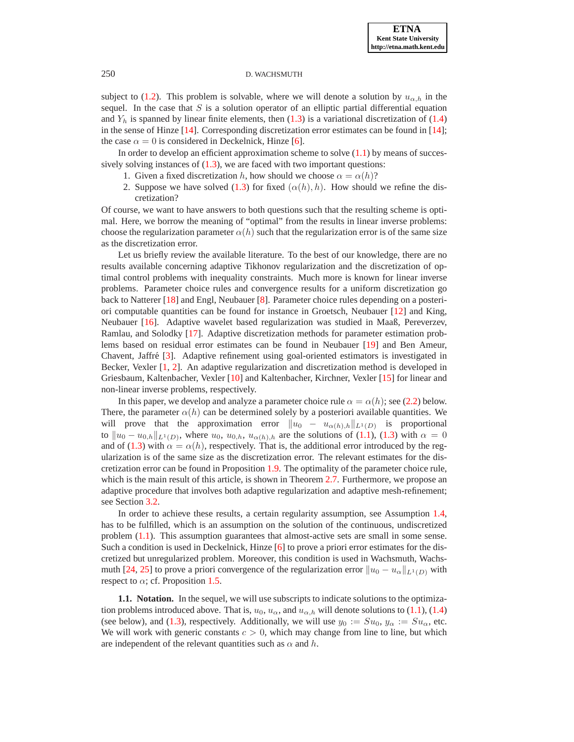subject to [\(1.2\)](#page-0-0). This problem is solvable, where we will denote a solution by  $u_{\alpha,h}$  in the sequel. In the case that  $S$  is a solution operator of an elliptic partial differential equation and  $Y_h$  is spanned by linear finite elements, then [\(1.3\)](#page-0-2) is a variational discretization of [\(1.4\)](#page-2-0) in the sense of Hinze [\[14\]](#page-17-2). Corresponding discretization error estimates can be found in [\[14\]](#page-17-2); the case  $\alpha = 0$  is considered in Deckelnick, Hinze [\[6\]](#page-17-3).

In order to develop an efficient approximation scheme to solve  $(1.1)$  by means of successively solving instances of  $(1.3)$ , we are faced with two important questions:

- 1. Given a fixed discretization h, how should we choose  $\alpha = \alpha(h)$ ?
- 2. Suppose we have solved [\(1.3\)](#page-0-2) for fixed  $(\alpha(h), h)$ . How should we refine the discretization?

Of course, we want to have answers to both questions such that the resulting scheme is optimal. Here, we borrow the meaning of "optimal" from the results in linear inverse problems: choose the regularization parameter  $\alpha(h)$  such that the regularization error is of the same size as the discretization error.

Let us briefly review the available literature. To the best of our knowledge, there are no results available concerning adaptive Tikhonov regularization and the discretization of optimal control problems with inequality constraints. Much more is known for linear inverse problems. Parameter choice rules and convergence results for a uniform discretization go back to Natterer [\[18\]](#page-17-4) and Engl, Neubauer [\[8\]](#page-17-5). Parameter choice rules depending on a posteriori computable quantities can be found for instance in Groetsch, Neubauer [\[12\]](#page-17-6) and King, Neubauer [\[16\]](#page-17-7). Adaptive wavelet based regularization was studied in Maaß, Pereverzev, Ramlau, and Solodky [\[17\]](#page-17-8). Adaptive discretization methods for parameter estimation problems based on residual error estimates can be found in Neubauer [\[19\]](#page-17-9) and Ben Ameur, Chavent, Jaffré [[3\]](#page-17-10). Adaptive refinement using goal-oriented estimators is investigated in Becker, Vexler [\[1,](#page-17-11) [2\]](#page-17-12). An adaptive regularization and discretization method is developed in Griesbaum, Kaltenbacher, Vexler [\[10\]](#page-17-13) and Kaltenbacher, Kirchner, Vexler [\[15\]](#page-17-14) for linear and non-linear inverse problems, respectively.

In this paper, we develop and analyze a parameter choice rule  $\alpha = \alpha(h)$ ; see [\(2.2\)](#page-7-0) below. There, the parameter  $\alpha(h)$  can be determined solely by a posteriori available quantities. We will prove that the approximation error  $||u_0 - u_{\alpha(h),h}||_{L^1(D)}$  is proportional to  $||u_0 - u_{0,h}||_{L^1(D)}$ , where  $u_0$ ,  $u_{0,h}$ ,  $u_{\alpha(h),h}$  are the solutions of [\(1.1\)](#page-0-1), [\(1.3\)](#page-0-2) with  $\alpha = 0$ and of [\(1.3\)](#page-0-2) with  $\alpha = \alpha(h)$ , respectively. That is, the additional error introduced by the regularization is of the same size as the discretization error. The relevant estimates for the discretization error can be found in Proposition [1.9.](#page-5-0) The optimality of the parameter choice rule, which is the main result of this article, is shown in Theorem [2.7.](#page-10-0) Furthermore, we propose an adaptive procedure that involves both adaptive regularization and adaptive mesh-refinement; see Section [3.2.](#page-13-0)

In order to achieve these results, a certain regularity assumption, see Assumption [1.4,](#page-3-0) has to be fulfilled, which is an assumption on the solution of the continuous, undiscretized problem [\(1.1\)](#page-0-1). This assumption guarantees that almost-active sets are small in some sense. Such a condition is used in Deckelnick, Hinze [\[6\]](#page-17-3) to prove a priori error estimates for the discretized but unregularized problem. Moreover, this condition is used in Wachsmuth, Wachs-muth [\[24,](#page-18-0) [25\]](#page-18-1) to prove a priori convergence of the regularization error  $||u_0 - u_\alpha||_{L^1(D)}$  with respect to  $\alpha$ ; cf. Proposition [1.5.](#page-3-1)

**1.1. Notation.** In the sequel, we will use subscripts to indicate solutions to the optimization problems introduced above. That is,  $u_0$ ,  $u_\alpha$ , and  $u_{\alpha,h}$  will denote solutions to [\(1.1\)](#page-0-1), [\(1.4\)](#page-2-0) (see below), and [\(1.3\)](#page-0-2), respectively. Additionally, we will use  $y_0 := Su_0$ ,  $y_\alpha := Su_\alpha$ , etc. We will work with generic constants  $c > 0$ , which may change from line to line, but which are independent of the relevant quantities such as  $\alpha$  and h.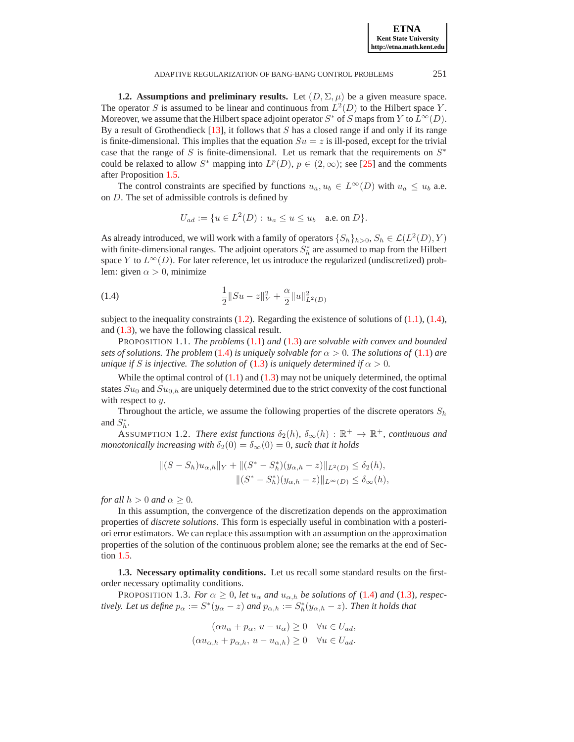**ETNA Kent State University http://etna.math.kent.edu**

### ADAPTIVE REGULARIZATION OF BANG-BANG CONTROL PROBLEMS 251

**1.2. Assumptions and preliminary results.** Let  $(D, \Sigma, \mu)$  be a given measure space. The operator S is assumed to be linear and continuous from  $L^2(D)$  to the Hilbert space Y. Moreover, we assume that the Hilbert space adjoint operator  $S^*$  of S maps from Y to  $L^{\infty}(D)$ . By a result of Grothendieck  $[13]$ , it follows that S has a closed range if and only if its range is finite-dimensional. This implies that the equation  $Su = z$  is ill-posed, except for the trivial case that the range of S is finite-dimensional. Let us remark that the requirements on  $S^*$ could be relaxed to allow  $S^*$  mapping into  $L^p(D)$ ,  $p \in (2,\infty)$ ; see [\[25\]](#page-18-1) and the comments after Proposition [1.5.](#page-3-1)

The control constraints are specified by functions  $u_a, u_b \in L^{\infty}(D)$  with  $u_a \leq u_b$  a.e. on D. The set of admissible controls is defined by

<span id="page-2-0"></span>
$$
U_{ad} := \{ u \in L^2(D) : u_a \le u \le u_b \text{ a.e. on } D \}.
$$

As already introduced, we will work with a family of operators  $\{S_h\}_{h>0}$ ,  $S_h \in \mathcal{L}(L^2(D),Y)$ with finite-dimensional ranges. The adjoint operators  $S_h^*$  are assumed to map from the Hilbert space Y to  $L^{\infty}(D)$ . For later reference, let us introduce the regularized (undiscretized) problem: given  $\alpha > 0$ , minimize

(1.4) 
$$
\frac{1}{2}||Su - z||_Y^2 + \frac{\alpha}{2}||u||_{L^2(D)}^2
$$

subject to the inequality constraints  $(1.2)$ . Regarding the existence of solutions of  $(1.1)$ ,  $(1.4)$ , and [\(1.3\)](#page-0-2), we have the following classical result.

PROPOSITION 1.1. *The problems* [\(1.1\)](#page-0-1) *and* [\(1.3\)](#page-0-2) *are solvable with convex and bounded sets of solutions. The problem* [\(1.4\)](#page-2-0) *is uniquely solvable for*  $\alpha > 0$ *. The solutions of* [\(1.1\)](#page-0-1) *are unique if* S *is injective. The solution of* [\(1.3\)](#page-0-2) *is uniquely determined if*  $\alpha > 0$ *.* 

While the optimal control of  $(1.1)$  and  $(1.3)$  may not be uniquely determined, the optimal states  $Su_0$  and  $Su_{0,h}$  are uniquely determined due to the strict convexity of the cost functional with respect to  $y$ .

<span id="page-2-1"></span>Throughout the article, we assume the following properties of the discrete operators  $S_h$ and  $S_h^*$ .

ASSUMPTION 1.2. *There exist functions*  $\delta_2(h)$ ,  $\delta_{\infty}(h)$  :  $\mathbb{R}^+ \to \mathbb{R}^+$ , *continuous and monotonically increasing with*  $\delta_2(0) = \delta_\infty(0) = 0$ *, such that it holds* 

$$
||(S - S_h)u_{\alpha,h}||_Y + ||(S^* - S_h^*)(y_{\alpha,h} - z)||_{L^2(D)} \le \delta_2(h),
$$
  

$$
||(S^* - S_h^*)(y_{\alpha,h} - z)||_{L^{\infty}(D)} \le \delta_{\infty}(h),
$$

*for all*  $h > 0$  *and*  $\alpha \geq 0$ *.* 

In this assumption, the convergence of the discretization depends on the approximation properties of *discrete solutions*. This form is especially useful in combination with a posteriori error estimators. We can replace this assumption with an assumption on the approximation properties of the solution of the continuous problem alone; see the remarks at the end of Section [1.5.](#page-4-0)

**1.3. Necessary optimality conditions.** Let us recall some standard results on the firstorder necessary optimality conditions.

<span id="page-2-2"></span>PROPOSITION 1.3. *For*  $\alpha \geq 0$ *, let*  $u_{\alpha}$  *and*  $u_{\alpha,h}$  *be solutions of* [\(1.4\)](#page-2-0) *and* [\(1.3\)](#page-0-2)*, respectively. Let us define*  $p_{\alpha} := S^*(y_{\alpha} - z)$  *and*  $p_{\alpha,h} := S^*_h(y_{\alpha,h} - z)$ *. Then it holds that* 

$$
(\alpha u_{\alpha} + p_{\alpha}, u - u_{\alpha}) \ge 0 \quad \forall u \in U_{ad},
$$
  

$$
(\alpha u_{\alpha,h} + p_{\alpha,h}, u - u_{\alpha,h}) \ge 0 \quad \forall u \in U_{ad}.
$$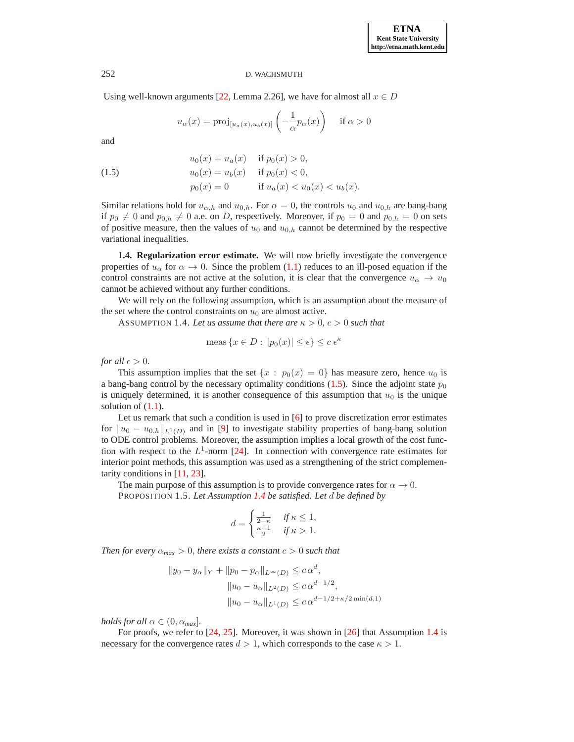Using well-known arguments [\[22,](#page-17-1) Lemma 2.26], we have for almost all  $x \in D$ 

$$
u_{\alpha}(x) = \text{proj}_{[u_{\alpha}(x), u_{b}(x)]} \left( -\frac{1}{\alpha} p_{\alpha}(x) \right) \quad \text{if } \alpha > 0
$$

<span id="page-3-2"></span>and

(1.5) 
$$
u_0(x) = u_a(x) \quad \text{if } p_0(x) > 0,
$$

$$
u_0(x) = u_b(x) \quad \text{if } p_0(x) < 0,
$$

$$
p_0(x) = 0 \quad \text{if } u_a(x) < u_0(x) < u_b(x).
$$

Similar relations hold for  $u_{\alpha,h}$  and  $u_{0,h}$ . For  $\alpha = 0$ , the controls  $u_0$  and  $u_{0,h}$  are bang-bang if  $p_0 \neq 0$  and  $p_{0,h} \neq 0$  a.e. on D, respectively. Moreover, if  $p_0 = 0$  and  $p_{0,h} = 0$  on sets of positive measure, then the values of  $u_0$  and  $u_{0,h}$  cannot be determined by the respective variational inequalities.

**1.4. Regularization error estimate.** We will now briefly investigate the convergence properties of  $u_{\alpha}$  for  $\alpha \to 0$ . Since the problem [\(1.1\)](#page-0-1) reduces to an ill-posed equation if the control constraints are not active at the solution, it is clear that the convergence  $u_{\alpha} \to u_0$ cannot be achieved without any further conditions.

<span id="page-3-0"></span>We will rely on the following assumption, which is an assumption about the measure of the set where the control constraints on  $u_0$  are almost active.

ASSUMPTION 1.4. Let us assume that there are  $\kappa > 0$ ,  $c > 0$  such that

$$
\text{meas}\left\{x \in D : |p_0(x)| \le \epsilon\right\} \le c \epsilon^{\kappa}
$$

*for all*  $\epsilon > 0$ *.* 

This assumption implies that the set  $\{x : p_0(x) = 0\}$  has measure zero, hence  $u_0$  is a bang-bang control by the necessary optimality conditions [\(1.5\)](#page-3-2). Since the adjoint state  $p_0$ is uniquely determined, it is another consequence of this assumption that  $u_0$  is the unique solution of  $(1.1)$ .

Let us remark that such a condition is used in  $[6]$  to prove discretization error estimates for  $||u_0 - u_{0,h}||_{L^1(D)}$  and in [\[9\]](#page-17-16) to investigate stability properties of bang-bang solution to ODE control problems. Moreover, the assumption implies a local growth of the cost function with respect to the  $L^1$ -norm [\[24\]](#page-18-0). In connection with convergence rate estimates for interior point methods, this assumption was used as a strengthening of the strict complementarity conditions in [\[11,](#page-17-17) [23\]](#page-17-18).

The main purpose of this assumption is to provide convergence rates for  $\alpha \to 0$ . PROPOSITION 1.5. *Let Assumption [1.4](#page-3-0) be satisfied. Let* d *be defined by*

<span id="page-3-1"></span>
$$
d = \begin{cases} \frac{1}{2-\kappa} & \text{if } \kappa \le 1, \\ \frac{\kappa+1}{2} & \text{if } \kappa > 1. \end{cases}
$$

*Then for every*  $\alpha_{max} > 0$ , *there exists a constant*  $c > 0$  *such that* 

$$
||y_0 - y_\alpha||_Y + ||p_0 - p_\alpha||_{L^\infty(D)} \le c \alpha^d,
$$
  

$$
||u_0 - u_\alpha||_{L^2(D)} \le c \alpha^{d-1/2},
$$
  

$$
||u_0 - u_\alpha||_{L^1(D)} \le c \alpha^{d-1/2 + \kappa/2 \min(d, 1)}
$$

*holds for all*  $\alpha \in (0, \alpha_{max}]$ *.* 

For proofs, we refer to [\[24,](#page-18-0) [25\]](#page-18-1). Moreover, it was shown in [\[26\]](#page-18-2) that Assumption [1.4](#page-3-0) is necessary for the convergence rates  $d > 1$ , which corresponds to the case  $\kappa > 1$ .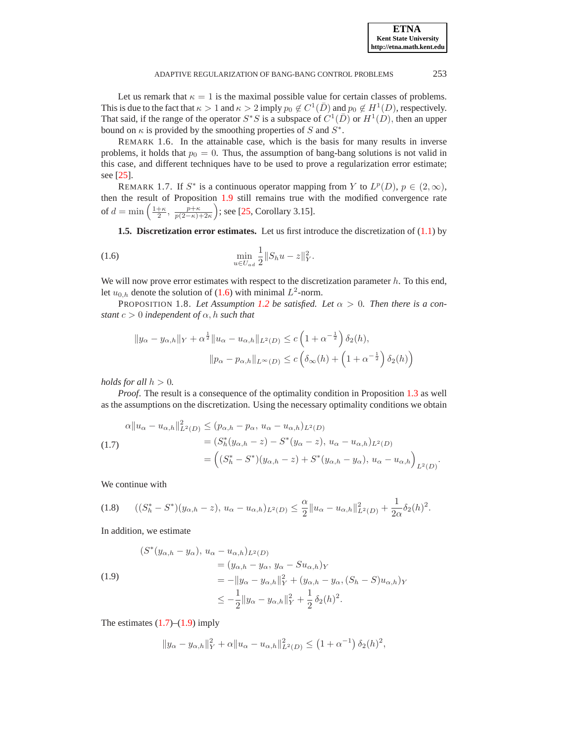Let us remark that  $\kappa = 1$  is the maximal possible value for certain classes of problems. This is due to the fact that  $\kappa > 1$  and  $\kappa > 2$  imply  $p_0 \notin C^1(\overline{D})$  and  $p_0 \notin H^1(D)$ , respectively. That said, if the range of the operator  $S^*S$  is a subspace of  $C^1(\overline{D})$  or  $H^1(D)$ , then an upper bound on  $\kappa$  is provided by the smoothing properties of S and  $S^*$ .

REMARK 1.6. In the attainable case, which is the basis for many results in inverse problems, it holds that  $p_0 = 0$ . Thus, the assumption of bang-bang solutions is not valid in this case, and different techniques have to be used to prove a regularization error estimate; see [\[25\]](#page-18-1).

REMARK 1.7. If  $S^*$  is a continuous operator mapping from Y to  $L^p(D)$ ,  $p \in (2,\infty)$ , then the result of Proposition [1.9](#page-5-0) still remains true with the modified convergence rate of  $d = \min\left(\frac{1+\kappa}{2}, \frac{p+\kappa}{p(2-\kappa)+2\kappa}\right)$ ; see [\[25,](#page-18-1) Corollary 3.15].

<span id="page-4-1"></span><span id="page-4-0"></span>**1.5. Discretization error estimates.** Let us first introduce the discretization of [\(1.1\)](#page-0-1) by

(1.6) 
$$
\min_{u \in U_{ad}} \frac{1}{2} \| S_h u - z \|_Y^2.
$$

We will now prove error estimates with respect to the discretization parameter  $h$ . To this end, let  $u_{0,h}$  denote the solution of [\(1.6\)](#page-4-1) with minimal  $L^2$ -norm.

<span id="page-4-4"></span>PROPOSITION 1.8. Let Assumption [1.2](#page-2-1) be satisfied. Let  $\alpha > 0$ . Then there is a con*stant*  $c > 0$  *independent* of  $\alpha$ , h *such that* 

<span id="page-4-2"></span>
$$
||y_{\alpha} - y_{\alpha,h}||_Y + \alpha^{\frac{1}{2}} ||u_{\alpha} - u_{\alpha,h}||_{L^2(D)} \le c \left(1 + \alpha^{-\frac{1}{2}}\right) \delta_2(h),
$$
  

$$
||p_{\alpha} - p_{\alpha,h}||_{L^{\infty}(D)} \le c \left(\delta_{\infty}(h) + \left(1 + \alpha^{-\frac{1}{2}}\right) \delta_2(h)\right)
$$

*holds for all*  $h > 0$ *.* 

*Proof.* The result is a consequence of the optimality condition in Proposition [1.3](#page-2-2) as well as the assumptions on the discretization. Using the necessary optimality conditions we obtain

(1.7)  
\n
$$
\alpha \|u_{\alpha} - u_{\alpha,h}\|_{L^2(D)}^2 \le (p_{\alpha,h} - p_{\alpha}, u_{\alpha} - u_{\alpha,h})_{L^2(D)}
$$
\n
$$
= (S_h^*(y_{\alpha,h} - z) - S^*(y_{\alpha} - z), u_{\alpha} - u_{\alpha,h})_{L^2(D)}
$$
\n
$$
= ((S_h^* - S^*)(y_{\alpha,h} - z) + S^*(y_{\alpha,h} - y_{\alpha}), u_{\alpha} - u_{\alpha,h})_{L^2(D)}.
$$

We continue with

$$
(1.8) \qquad ((S_h^*-S^*)(y_{\alpha,h}-z), u_\alpha-u_{\alpha,h})_{L^2(D)} \leq \frac{\alpha}{2}||u_\alpha-u_{\alpha,h}||^2_{L^2(D)} + \frac{1}{2\alpha}\delta_2(h)^2.
$$

<span id="page-4-3"></span>In addition, we estimate

(1.9)  
\n
$$
(S^*(y_{\alpha,h} - y_{\alpha}), u_{\alpha} - u_{\alpha,h})_{L^2(D)}
$$
\n
$$
= (y_{\alpha,h} - y_{\alpha}, y_{\alpha} - S u_{\alpha,h})_Y
$$
\n
$$
= -||y_{\alpha} - y_{\alpha,h}||_Y^2 + (y_{\alpha,h} - y_{\alpha}, (S_h - S) u_{\alpha,h})_Y
$$
\n
$$
\leq -\frac{1}{2} ||y_{\alpha} - y_{\alpha,h}||_Y^2 + \frac{1}{2} \delta_2(h)^2.
$$

The estimates  $(1.7)$ – $(1.9)$  imply

$$
||y_{\alpha} - y_{\alpha,h}||_Y^2 + \alpha ||u_{\alpha} - u_{\alpha,h}||_{L^2(D)}^2 \le (1 + \alpha^{-1}) \delta_2(h)^2,
$$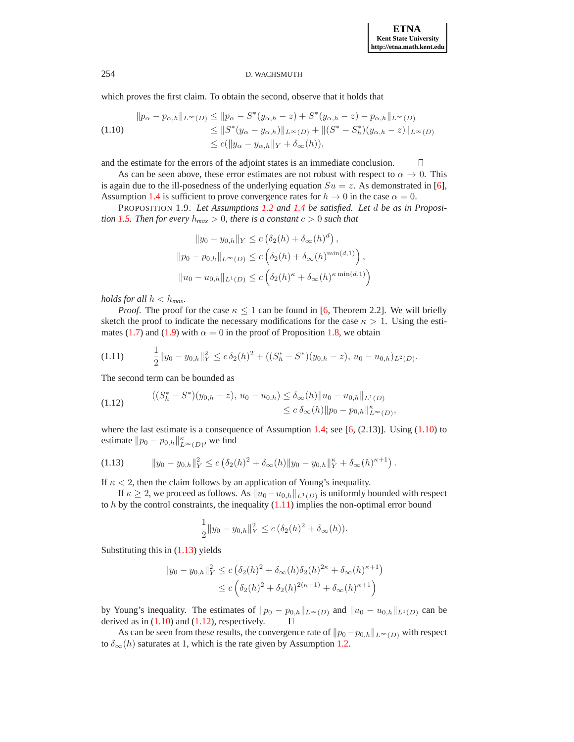<span id="page-5-2"></span><span id="page-5-1"></span> $\Box$ 

### 254 D. WACHSMUTH

which proves the first claim. To obtain the second, observe that it holds that

$$
\|p_{\alpha} - p_{\alpha,h}\|_{L^{\infty}(D)} \le \|p_{\alpha} - S^*(y_{\alpha,h} - z) + S^*(y_{\alpha,h} - z) - p_{\alpha,h}\|_{L^{\infty}(D)}
$$
  
\n
$$
\le \|S^*(y_{\alpha} - y_{\alpha,h})\|_{L^{\infty}(D)} + \|(S^* - S^*_h)(y_{\alpha,h} - z)\|_{L^{\infty}(D)}
$$
  
\n
$$
\le c(\|y_{\alpha} - y_{\alpha,h}\|_{Y} + \delta_{\infty}(h)),
$$

and the estimate for the errors of the adjoint states is an immediate conclusion.

As can be seen above, these error estimates are not robust with respect to  $\alpha \to 0$ . This is again due to the ill-posedness of the underlying equation  $Su = z$ . As demonstrated in [\[6\]](#page-17-3), Assumption [1.4](#page-3-0) is sufficient to prove convergence rates for  $h \to 0$  in the case  $\alpha = 0$ .

<span id="page-5-0"></span>PROPOSITION 1.9. *Let Assumptions [1.2](#page-2-1) and [1.4](#page-3-0) be satisfied. Let* d *be as in Proposition* [1.5.](#page-3-1) Then for every  $h_{max} > 0$ , there is a constant  $c > 0$  such that

$$
||y_0 - y_{0,h}||_Y \le c \left(\delta_2(h) + \delta_\infty(h)^d\right),
$$
  
\n
$$
||p_0 - p_{0,h}||_{L^\infty(D)} \le c \left(\delta_2(h) + \delta_\infty(h)^{\min(d,1)}\right),
$$
  
\n
$$
||u_0 - u_{0,h}||_{L^1(D)} \le c \left(\delta_2(h)^\kappa + \delta_\infty(h)^{\kappa \min(d,1)}\right)
$$

*holds for all*  $h < h_{max}$ *.* 

*Proof.* The proof for the case  $\kappa \leq 1$  can be found in [\[6,](#page-17-3) Theorem 2.2]. We will briefly sketch the proof to indicate the necessary modifications for the case  $\kappa > 1$ . Using the esti-mates [\(1.7\)](#page-4-2) and [\(1.9\)](#page-4-3) with  $\alpha = 0$  in the proof of Proposition [1.8,](#page-4-4) we obtain

$$
(1.11) \qquad \frac{1}{2} \|y_0 - y_{0,h}\|_Y^2 \le c \,\delta_2(h)^2 + ((S_h^* - S^*)(y_{0,h} - z), u_0 - u_{0,h})_{L^2(D)}.
$$

<span id="page-5-4"></span>The second term can be bounded as

$$
\begin{aligned} ((S_h^* - S^*)(y_{0,h} - z), u_0 - u_{0,h}) &\le \delta_\infty(h) \|u_0 - u_{0,h}\|_{L^1(D)} \\ &\le c \, \delta_\infty(h) \|p_0 - p_{0,h}\|_{L^\infty(D)}^{\kappa}, \end{aligned}
$$

where the last estimate is a consequence of Assumption [1.4;](#page-3-0) see  $[6, (2.13)]$  $[6, (2.13)]$ . Using  $(1.10)$  to estimate  $||p_0 - p_{0,h}||_{L^{\infty}(D)}^{\kappa}$ , we find

$$
(1.13) \t\t ||y_0 - y_{0,h}||_Y^2 \le c \left( \delta_2(h)^2 + \delta_\infty(h) ||y_0 - y_{0,h}||_Y^\kappa + \delta_\infty(h)^{\kappa+1} \right).
$$

If  $\kappa$  < 2, then the claim follows by an application of Young's inequality.

If  $\kappa \geq 2$ , we proceed as follows. As  $\| u_0 - u_{0,h} \|_{L^1(D)}$  is uniformly bounded with respect to  $h$  by the control constraints, the inequality  $(1.11)$  implies the non-optimal error bound

<span id="page-5-3"></span>
$$
\frac{1}{2}||y_0 - y_{0,h}||_Y^2 \le c\left(\delta_2(h)^2 + \delta_\infty(h)\right).
$$

Substituting this in [\(1.13\)](#page-5-3) yields

$$
||y_0 - y_{0,h}||_Y^2 \le c \left(\delta_2(h)^2 + \delta_\infty(h)\delta_2(h)^{2\kappa} + \delta_\infty(h)^{\kappa+1}\right) \\
\le c \left(\delta_2(h)^2 + \delta_2(h)^{2(\kappa+1)} + \delta_\infty(h)^{\kappa+1}\right)
$$

by Young's inequality. The estimates of  $||p_0 - p_{0,h}||_{L^{\infty}(D)}$  and  $||u_0 - u_{0,h}||_{L^1(D)}$  can be derived as in  $(1.10)$  and  $(1.12)$ , respectively.  $\Box$ 

As can be seen from these results, the convergence rate of  $||p_0-p_{0,h}||_{L^{\infty}(D)}$  with respect to  $\delta_{\infty}(h)$  saturates at 1, which is the rate given by Assumption [1.2.](#page-2-1)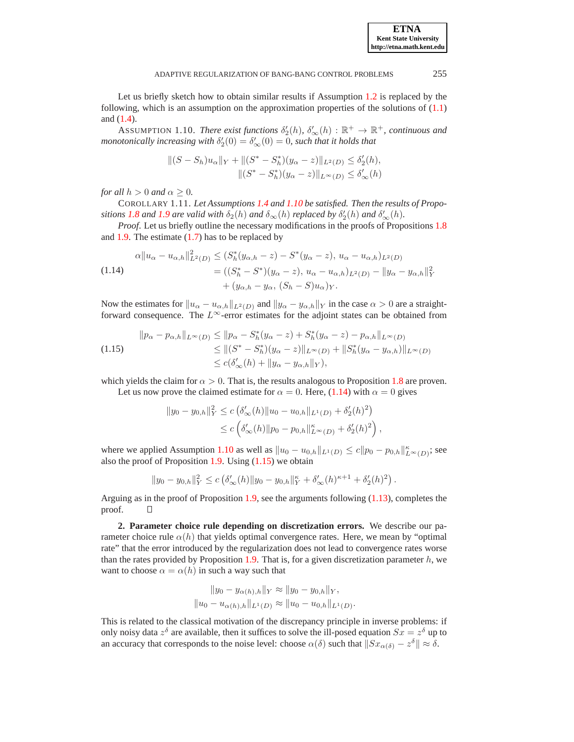Let us briefly sketch how to obtain similar results if Assumption [1.2](#page-2-1) is replaced by the following, which is an assumption on the approximation properties of the solutions of [\(1.1\)](#page-0-1) and [\(1.4\)](#page-2-0).

<span id="page-6-0"></span>ASSUMPTION 1.10. *There exist functions*  $\delta'_2(h)$ ,  $\delta'_{\infty}(h)$  :  $\mathbb{R}^+ \to \mathbb{R}^+$ , *continuous and monotonically increasing with*  $\delta'_2(0) = \delta'_{\infty}(0) = 0$ , such that it holds that

<span id="page-6-1"></span>
$$
||(S - S_h)u_{\alpha}||_Y + ||(S^* - S_h^*)(y_{\alpha} - z)||_{L^2(D)} \leq \delta'_2(h),
$$
  

$$
||(S^* - S_h^*)(y_{\alpha} - z)||_{L^{\infty}(D)} \leq \delta'_{\infty}(h)
$$

*for all*  $h > 0$  *and*  $\alpha > 0$ *.* 

COROLLARY 1.11. *Let Assumptions [1.4](#page-3-0) and [1.10](#page-6-0) be satisfied. Then the results of Propositions* [1.8](#page-4-4) *and* [1.9](#page-5-0) *are valid with*  $\delta_2(h)$  *and*  $\delta_\infty(h)$  *replaced by*  $\delta'_2(h)$  *and*  $\delta'_\infty(h)$ *.* 

*Proof*. Let us briefly outline the necessary modifications in the proofs of Propositions [1.8](#page-4-4) and [1.9.](#page-5-0) The estimate  $(1.7)$  has to be replaced by

(1.14) 
$$
\alpha \|u_{\alpha} - u_{\alpha,h}\|_{L^2(D)}^2 \le (S_h^*(y_{\alpha,h} - z) - S^*(y_{\alpha} - z), u_{\alpha} - u_{\alpha,h})_{L^2(D)}
$$

$$
= ((S_h^* - S^*)(y_{\alpha} - z), u_{\alpha} - u_{\alpha,h})_{L^2(D)} - \|y_{\alpha} - y_{\alpha,h}\|_Y^2
$$

$$
+ (y_{\alpha,h} - y_{\alpha}, (S_h - S)u_{\alpha})_Y.
$$

Now the estimates for  $||u_{\alpha} - u_{\alpha,h}||_{L^2(D)}$  and  $||y_{\alpha} - y_{\alpha,h}||_Y$  in the case  $\alpha > 0$  are a straightforward consequence. The  $L^{\infty}$ -error estimates for the adjoint states can be obtained from

<span id="page-6-2"></span>
$$
\|p_{\alpha} - p_{\alpha,h}\|_{L^{\infty}(D)} \le \|p_{\alpha} - S_h^*(y_{\alpha} - z) + S_h^*(y_{\alpha} - z) - p_{\alpha,h}\|_{L^{\infty}(D)}
$$
  
\n
$$
\le \| (S^* - S_h^*)(y_{\alpha} - z) \|_{L^{\infty}(D)} + \|S_h^*(y_{\alpha} - y_{\alpha,h})\|_{L^{\infty}(D)}
$$
  
\n
$$
\le c(\delta'_{\infty}(h) + \|y_{\alpha} - y_{\alpha,h}\|_{Y}),
$$

which yields the claim for  $\alpha > 0$ . That is, the results analogous to Proposition [1.8](#page-4-4) are proven.

Let us now prove the claimed estimate for  $\alpha = 0$ . Here, [\(1.14\)](#page-6-1) with  $\alpha = 0$  gives

$$
||y_0 - y_{0,h}||_Y^2 \le c \left(\delta'_{\infty}(h) ||u_0 - u_{0,h}||_{L^1(D)} + \delta'_2(h)^2\right)
$$
  
 
$$
\le c \left(\delta'_{\infty}(h) ||p_0 - p_{0,h}||_{L^{\infty}(D)} + \delta'_2(h)^2\right),
$$

where we applied Assumption [1.10](#page-6-0) as well as  $||u_0 - u_{0,h}||_{L^1(D)} \le c||p_0 - p_{0,h}||_{L^{\infty}(D)}^{\kappa}$ ; see also the proof of Proposition  $1.9$ . Using  $(1.15)$  we obtain

$$
||y_0 - y_{0,h}||_Y^2 \le c \left(\delta'_{\infty}(h) ||y_0 - y_{0,h}||_Y^{\kappa} + \delta'_{\infty}(h)^{\kappa+1} + \delta'_2(h)^2\right).
$$

Arguing as in the proof of Proposition [1.9,](#page-5-0) see the arguments following [\(1.13\)](#page-5-3), completes the proof. О

**2. Parameter choice rule depending on discretization errors.** We describe our parameter choice rule  $\alpha(h)$  that yields optimal convergence rates. Here, we mean by "optimal" rate" that the error introduced by the regularization does not lead to convergence rates worse than the rates provided by Proposition [1.9.](#page-5-0) That is, for a given discretization parameter  $h$ , we want to choose  $\alpha = \alpha(h)$  in such a way such that

$$
||y_0 - y_{\alpha(h),h}||_Y \approx ||y_0 - y_{0,h}||_Y,
$$
  

$$
||u_0 - u_{\alpha(h),h}||_{L^1(D)} \approx ||u_0 - u_{0,h}||_{L^1(D)}.
$$

This is related to the classical motivation of the discrepancy principle in inverse problems: if only noisy data  $z^{\delta}$  are available, then it suffices to solve the ill-posed equation  $Sx = z^{\delta}$  up to an accuracy that corresponds to the noise level: choose  $\alpha(\delta)$  such that  $||Sx_{\alpha(\delta)} - z^{\delta}|| \approx \delta$ .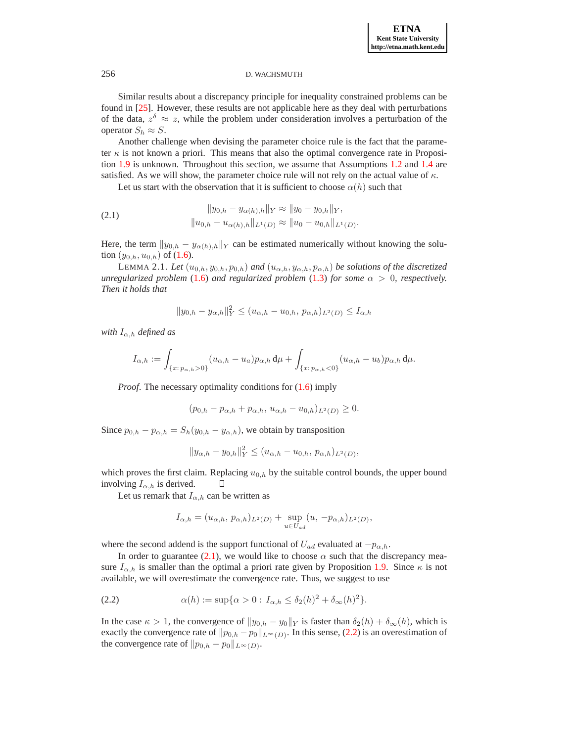Similar results about a discrepancy principle for inequality constrained problems can be found in [\[25\]](#page-18-1). However, these results are not applicable here as they deal with perturbations of the data,  $z^{\delta} \approx z$ , while the problem under consideration involves a perturbation of the operator  $S_h \approx S$ .

Another challenge when devising the parameter choice rule is the fact that the parameter  $\kappa$  is not known a priori. This means that also the optimal convergence rate in Proposition [1.9](#page-5-0) is unknown. Throughout this section, we assume that Assumptions [1.2](#page-2-1) and [1.4](#page-3-0) are satisfied. As we will show, the parameter choice rule will not rely on the actual value of  $\kappa$ .

Let us start with the observation that it is sufficient to choose  $\alpha(h)$  such that

(2.1) 
$$
||y_{0,h} - y_{\alpha(h),h}||_Y \approx ||y_0 - y_{0,h}||_Y, ||u_{0,h} - u_{\alpha(h),h}||_{L^1(D)} \approx ||u_0 - u_{0,h}||_{L^1(D)}.
$$

Here, the term  $||y_{0,h} - y_{\alpha(h),h}||_Y$  can be estimated numerically without knowing the solution  $(y_{0,h}, u_{0,h})$  of  $(1.6)$ .

<span id="page-7-2"></span>LEMMA 2.1. *Let*  $(u_{0,h}, y_{0,h}, p_{0,h})$  *and*  $(u_{\alpha,h}, y_{\alpha,h}, p_{\alpha,h})$  *be solutions of the discretized unregularized problem* [\(1.6\)](#page-4-1) *and regularized problem* [\(1.3\)](#page-0-2) *for some*  $\alpha > 0$ *, respectively. Then it holds that*

<span id="page-7-1"></span>
$$
||y_{0,h} - y_{\alpha,h}||_Y^2 \le (u_{\alpha,h} - u_{0,h}, p_{\alpha,h})_{L^2(D)} \le I_{\alpha,h}
$$

*with*  $I_{\alpha,h}$  *defined as* 

$$
I_{\alpha,h} := \int_{\{x:\,p_{\alpha,h}>0\}} (u_{\alpha,h}-u_a)p_{\alpha,h} \,d\mu + \int_{\{x:\,p_{\alpha,h}<0\}} (u_{\alpha,h}-u_b)p_{\alpha,h} \,d\mu.
$$

*Proof.* The necessary optimality conditions for  $(1.6)$  imply

$$
(p_{0,h} - p_{\alpha,h} + p_{\alpha,h}, u_{\alpha,h} - u_{0,h})_{L^2(D)} \ge 0.
$$

Since  $p_{0,h} - p_{\alpha,h} = S_h(y_{0,h} - y_{\alpha,h})$ , we obtain by transposition

$$
||y_{\alpha,h} - y_{0,h}||_Y^2 \le (u_{\alpha,h} - u_{0,h}, p_{\alpha,h})_{L^2(D)},
$$

which proves the first claim. Replacing  $u_{0,h}$  by the suitable control bounds, the upper bound involving  $I_{\alpha,h}$  is derived.  $\Box$ 

Let us remark that  $I_{\alpha,h}$  can be written as

<span id="page-7-0"></span>
$$
I_{\alpha,h} = (u_{\alpha,h}, p_{\alpha,h})_{L^2(D)} + \sup_{u \in U_{ad}} (u, -p_{\alpha,h})_{L^2(D)},
$$

where the second addend is the support functional of  $U_{ad}$  evaluated at  $-p_{\alpha,h}$ .

In order to guarantee [\(2.1\)](#page-7-1), we would like to choose  $\alpha$  such that the discrepancy measure  $I_{\alpha,h}$  is smaller than the optimal a priori rate given by Proposition [1.9.](#page-5-0) Since  $\kappa$  is not available, we will overestimate the convergence rate. Thus, we suggest to use

(2.2) 
$$
\alpha(h) := \sup \{ \alpha > 0 : I_{\alpha,h} \le \delta_2(h)^2 + \delta_\infty(h)^2 \}.
$$

In the case  $\kappa > 1$ , the convergence of  $||y_{0,h} - y_0||_Y$  is faster than  $\delta_2(h) + \delta_\infty(h)$ , which is exactly the convergence rate of  $||p_{0,h} - p_0||_{L^\infty(D)}$ . In this sense, [\(2.2\)](#page-7-0) is an overestimation of the convergence rate of  $||p_{0,h} - p_0||_{L^{\infty}(D)}$ .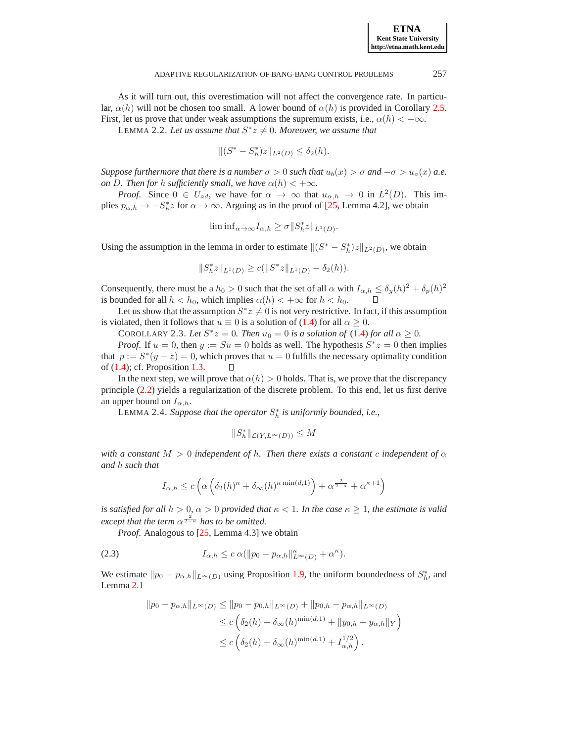As it will turn out, this overestimation will not affect the convergence rate. In particular,  $\alpha(h)$  will not be chosen too small. A lower bound of  $\alpha(h)$  is provided in Corollary [2.5.](#page-9-0) First, let us prove that under weak assumptions the supremum exists, i.e.,  $\alpha(h) < +\infty$ .

LEMMA 2.2. Let us assume that  $S^*z \neq 0$ . Moreover, we assume that

$$
||(S^* - S_h^*)z||_{L^2(D)} \le \delta_2(h).
$$

*Suppose furthermore that there is a number*  $\sigma > 0$  *such that*  $u_b(x) > \sigma$  *and*  $-\sigma > u_a(x)$  *a.e. on* D. Then for h sufficiently small, we have  $\alpha(h) < +\infty$ .

*Proof.* Since  $0 \in U_{ad}$ , we have for  $\alpha \to \infty$  that  $u_{\alpha,h} \to 0$  in  $L^2(D)$ . This implies  $p_{\alpha,h} \to -S_h^* z$  for  $\alpha \to \infty$ . Arguing as in the proof of [\[25,](#page-18-1) Lemma 4.2], we obtain

$$
\liminf_{\alpha \to \infty} I_{\alpha,h} \ge \sigma \|S_h^* z\|_{L^1(D)}.
$$

Using the assumption in the lemma in order to estimate  $\|(S^* - S^*_h)z\|_{L^2(D)}$ , we obtain

$$
||S_h^* z||_{L^1(D)} \ge c(||S^* z||_{L^1(D)} - \delta_2(h)).
$$

Consequently, there must be a  $h_0 > 0$  such that the set of all  $\alpha$  with  $I_{\alpha,h} \le \delta_y(h)^2 + \delta_p(h)^2$ is bounded for all  $h < h_0$ , which implies  $\alpha(h) < +\infty$  for  $h < h_0$ .

Let us show that the assumption  $S^*z \neq 0$  is not very restrictive. In fact, if this assumption is violated, then it follows that  $u \equiv 0$  is a solution of [\(1.4\)](#page-2-0) for all  $\alpha \ge 0$ .

COROLLARY 2.3. Let  $S^*z = 0$ . Then  $u_0 = 0$  is a solution of [\(1.4\)](#page-2-0) for all  $\alpha \ge 0$ .

*Proof.* If  $u = 0$ , then  $y := Su = 0$  holds as well. The hypothesis  $S^*z = 0$  then implies that  $p := S^*(y - z) = 0$ , which proves that  $u = 0$  fulfills the necessary optimality condition of  $(1.4)$ ; cf. Proposition [1.3.](#page-2-2) Л

In the next step, we will prove that  $\alpha(h) > 0$  holds. That is, we prove that the discrepancy principle [\(2.2\)](#page-7-0) yields a regularization of the discrete problem. To this end, let us first derive an upper bound on  $I_{\alpha,h}$ .

<span id="page-8-1"></span>LEMMA 2.4. *Suppose that the operator*  $S_h^*$  *is uniformly bounded, i.e.,* 

<span id="page-8-0"></span>
$$
||S_h^*||_{\mathcal{L}(Y,L^\infty(D))} \leq M
$$

*with a constant*  $M > 0$  *independent of h. Then there exists a constant c independent of*  $\alpha$ *and* h *such that*

$$
I_{\alpha,h} \le c \left( \alpha \left( \delta_2(h)^\kappa + \delta_\infty(h)^\kappa \min(d,1) \right) + \alpha^{\frac{2}{2-\kappa}} + \alpha^{\kappa+1} \right)
$$

*is satisfied for all*  $h > 0$ ,  $\alpha > 0$  *provided that*  $\kappa < 1$ *. In the case*  $\kappa \geq 1$ *, the estimate is valid except that the term*  $\alpha^{\frac{2}{2-\kappa}}$  *has to be omitted.* 

*Proof.* Analogous to [\[25,](#page-18-1) Lemma 4.3] we obtain

$$
(2.3) \t I_{\alpha,h} \leq c \alpha (\|p_0 - p_{\alpha,h}\|_{L^{\infty}(D)}^{\kappa} + \alpha^{\kappa}).
$$

We estimate  $||p_0 - p_{\alpha,h}||_{L^\infty(D)}$  using Proposition [1.9,](#page-5-0) the uniform boundedness of  $S_h^*$ , and Lemma [2.1](#page-7-2)

$$
||p_0 - p_{\alpha,h}||_{L^{\infty}(D)} \le ||p_0 - p_{0,h}||_{L^{\infty}(D)} + ||p_{0,h} - p_{\alpha,h}||_{L^{\infty}(D)}
$$
  
\n
$$
\le c \left( \delta_2(h) + \delta_{\infty}(h)^{\min(d,1)} + ||y_{0,h} - y_{\alpha,h}||_Y \right)
$$
  
\n
$$
\le c \left( \delta_2(h) + \delta_{\infty}(h)^{\min(d,1)} + I_{\alpha,h}^{1/2} \right).
$$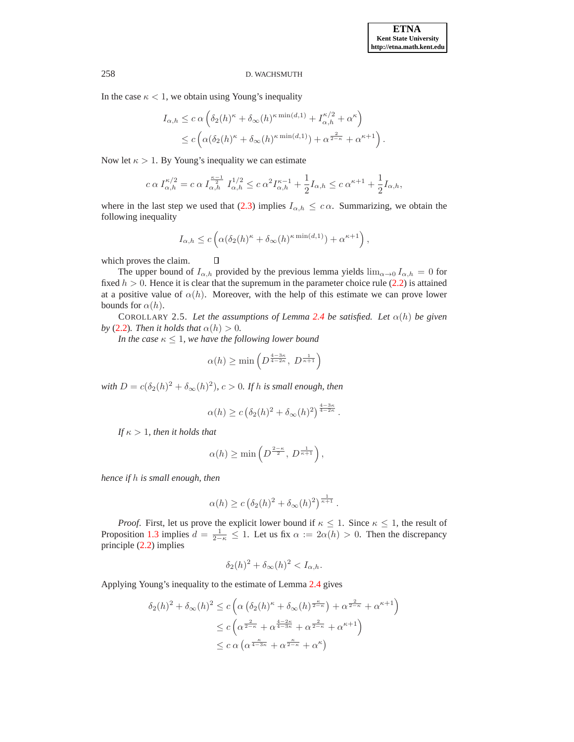In the case  $\kappa < 1$ , we obtain using Young's inequality

$$
I_{\alpha,h} \leq c \alpha \left( \delta_2(h)^{\kappa} + \delta_\infty(h)^{\kappa \min(d,1)} + I_{\alpha,h}^{\kappa/2} + \alpha^{\kappa} \right)
$$
  

$$
\leq c \left( \alpha(\delta_2(h)^{\kappa} + \delta_\infty(h)^{\kappa \min(d,1)}) + \alpha^{\frac{2}{2-\kappa}} + \alpha^{\kappa+1} \right).
$$

Now let  $\kappa > 1$ . By Young's inequality we can estimate

$$
c \alpha I_{\alpha,h}^{\kappa/2} = c \alpha I_{\alpha,h}^{\frac{\kappa-1}{2}} I_{\alpha,h}^{1/2} \le c \alpha^2 I_{\alpha,h}^{\kappa-1} + \frac{1}{2} I_{\alpha,h} \le c \alpha^{\kappa+1} + \frac{1}{2} I_{\alpha,h},
$$

where in the last step we used that [\(2.3\)](#page-8-0) implies  $I_{\alpha,h} \leq c \alpha$ . Summarizing, we obtain the following inequality

$$
I_{\alpha,h} \le c \left( \alpha (\delta_2(h)^{\kappa} + \delta_{\infty}(h)^{\kappa \min(d,1)}) + \alpha^{\kappa+1} \right),
$$

which proves the claim.

The upper bound of  $I_{\alpha,h}$  provided by the previous lemma yields  $\lim_{\alpha\to 0} I_{\alpha,h} = 0$  for fixed  $h > 0$ . Hence it is clear that the supremum in the parameter choice rule [\(2.2\)](#page-7-0) is attained at a positive value of  $\alpha(h)$ . Moreover, with the help of this estimate we can prove lower bounds for  $\alpha(h)$ .

<span id="page-9-0"></span>COROLLARY 2.5. Let the assumptions of Lemma [2.4](#page-8-1) be satisfied. Let  $\alpha(h)$  be given *by* [\(2.2\)](#page-7-0)*. Then it holds that*  $\alpha(h) > 0$ *.* 

*In the case*  $\kappa \leq 1$ *, we have the following lower bound* 

 $\Box$ 

$$
\alpha(h) \ge \min\left(D^{\frac{4-3\kappa}{4-2\kappa}},\ D^{\frac{1}{\kappa+1}}\right)
$$

 $\omega$ *with*  $D = c(\delta_2(h)^2 + \delta_\infty(h)^2)$ ,  $c > 0$ . If h is small enough, then

$$
\alpha(h) \ge c \left(\delta_2(h)^2 + \delta_\infty(h)^2\right)^{\frac{4-3\kappa}{4-2\kappa}}.
$$

*If*  $\kappa > 1$ *, then it holds that* 

$$
\alpha(h) \ge \min\left(D^{\frac{2-\kappa}{2}}, D^{\frac{1}{\kappa+1}}\right),
$$

*hence if* h *is small enough, then*

$$
\alpha(h) \ge c \left(\delta_2(h)^2 + \delta_\infty(h)^2\right)^{\frac{1}{\kappa+1}}.
$$

*Proof.* First, let us prove the explicit lower bound if  $\kappa \leq 1$ . Since  $\kappa \leq 1$ , the result of Proposition [1.3](#page-2-2) implies  $d = \frac{1}{2-\kappa} \leq 1$ . Let us fix  $\alpha := 2\alpha(h) > 0$ . Then the discrepancy principle [\(2.2\)](#page-7-0) implies

$$
\delta_2(h)^2 + \delta_\infty(h)^2 < I_{\alpha,h}.
$$

Applying Young's inequality to the estimate of Lemma [2.4](#page-8-1) gives

$$
\delta_2(h)^2 + \delta_\infty(h)^2 \le c \left( \alpha \left( \delta_2(h)^{\kappa} + \delta_\infty(h)^{\frac{\kappa}{2-\kappa}} \right) + \alpha^{\frac{2}{2-\kappa}} + \alpha^{\kappa+1} \right)
$$
  

$$
\le c \left( \alpha^{\frac{2}{2-\kappa}} + \alpha^{\frac{4-2\kappa}{4-3\kappa}} + \alpha^{\frac{2}{2-\kappa}} + \alpha^{\kappa+1} \right)
$$
  

$$
\le c \alpha \left( \alpha^{\frac{\kappa}{4-3\kappa}} + \alpha^{\frac{\kappa}{2-\kappa}} + \alpha^{\kappa} \right)
$$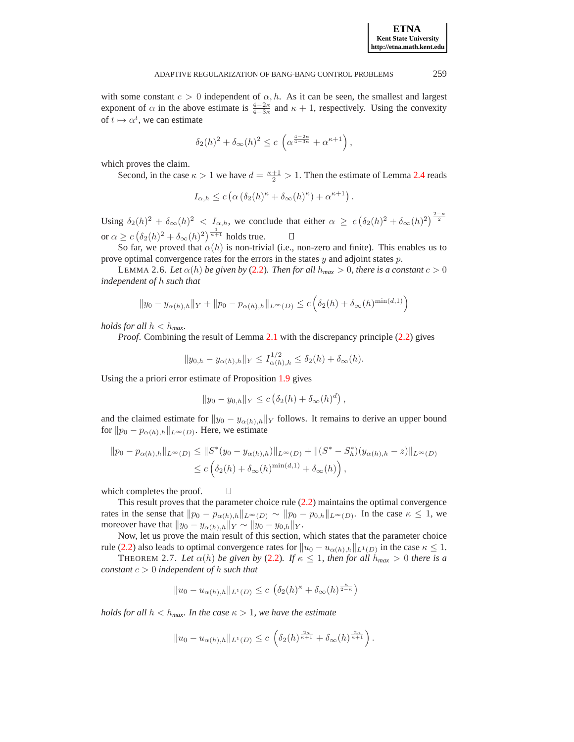with some constant  $c > 0$  independent of  $\alpha$ , h. As it can be seen, the smallest and largest exponent of  $\alpha$  in the above estimate is  $\frac{4-2\kappa}{4-3\kappa}$  and  $\kappa + 1$ , respectively. Using the convexity of  $t \mapsto \alpha^t$ , we can estimate

$$
\delta_2(h)^2 + \delta_\infty(h)^2 \le c \left( \alpha^{\frac{4-2\kappa}{4-3\kappa}} + \alpha^{\kappa+1} \right),
$$

which proves the claim.

Second, in the case  $\kappa > 1$  we have  $d = \frac{\kappa + 1}{2} > 1$ . Then the estimate of Lemma [2.4](#page-8-1) reads

$$
I_{\alpha,h} \le c \left( \alpha \left( \delta_2(h)^\kappa + \delta_\infty(h)^\kappa \right) + \alpha^{\kappa+1} \right).
$$

Using  $\delta_2(h)^2 + \delta_\infty(h)^2 < I_{\alpha,h}$ , we conclude that either  $\alpha \geq c \left( \delta_2(h)^2 + \delta_\infty(h)^2 \right)^{\frac{2-\kappa}{2}}$ or  $\alpha \geq c \left( \delta_2(h)^2 + \delta_\infty(h)^2 \right)^{\frac{1}{\kappa+1}}$  holds true.  $\Box$ 

<span id="page-10-1"></span>So far, we proved that  $\alpha(h)$  is non-trivial (i.e., non-zero and finite). This enables us to prove optimal convergence rates for the errors in the states  $y$  and adjoint states  $p$ .

LEMMA 2.6. Let  $\alpha(h)$  be given by [\(2.2\)](#page-7-0). Then for all  $h_{max} > 0$ , there is a constant  $c > 0$ *independent of* h *such that*

$$
||y_0 - y_{\alpha(h),h}||_Y + ||p_0 - p_{\alpha(h),h}||_{L^{\infty}(D)} \le c \left(\delta_2(h) + \delta_{\infty}(h)^{\min(d,1)}\right)
$$

*holds for all*  $h < h_{max}$ .

*Proof.* Combining the result of Lemma [2.1](#page-7-2) with the discrepancy principle [\(2.2\)](#page-7-0) gives

$$
||y_{0,h} - y_{\alpha(h),h}||_Y \le I_{\alpha(h),h}^{1/2} \le \delta_2(h) + \delta_{\infty}(h).
$$

Using the a priori error estimate of Proposition [1.9](#page-5-0) gives

$$
||y_0 - y_{0,h}||_Y \le c \left(\delta_2(h) + \delta_\infty(h)^d\right),
$$

and the claimed estimate for  $||y_0 - y_{\alpha(h),h}||_Y$  follows. It remains to derive an upper bound for  $||p_0 - p_{\alpha(h),h}||_{L^{\infty}(D)}$ . Here, we estimate

$$
||p_0 - p_{\alpha(h),h}||_{L^{\infty}(D)} \le ||S^*(y_0 - y_{\alpha(h),h})||_{L^{\infty}(D)} + ||(S^* - S^*_h)(y_{\alpha(h),h} - z)||_{L^{\infty}(D)}
$$
  

$$
\le c \left( \delta_2(h) + \delta_{\infty}(h)^{\min(d,1)} + \delta_{\infty}(h) \right),
$$

which completes the proof.

This result proves that the parameter choice rule [\(2.2\)](#page-7-0) maintains the optimal convergence rates in the sense that  $||p_0 - p_{\alpha(h),h}||_{L^{\infty}(D)} \sim ||p_0 - p_{0,h}||_{L^{\infty}(D)}$ . In the case  $\kappa \leq 1$ , we moreover have that  $||y_0 - y_{\alpha(h),h}||_Y \sim ||y_0 - y_{0,h}||_Y$ .

Now, let us prove the main result of this section, which states that the parameter choice rule [\(2.2\)](#page-7-0) also leads to optimal convergence rates for  $||u_0 - u_{\alpha(h),h}||_{L^1(D)}$  in the case  $\kappa \leq 1$ .

<span id="page-10-0"></span>THEOREM 2.7. Let  $\alpha(h)$  be given by [\(2.2\)](#page-7-0). If  $\kappa \leq 1$ , then for all  $h_{max} > 0$  there is a *constant* c > 0 *independent of* h *such that*

$$
||u_0 - u_{\alpha(h),h}||_{L^1(D)} \le c \left(\delta_2(h)^\kappa + \delta_\infty(h)^{\frac{\kappa}{2-\kappa}}\right)
$$

*holds for all*  $h < h_{max}$ *. In the case*  $\kappa > 1$ *, we have the estimate* 

 $\Box$ 

$$
||u_0 - u_{\alpha(h),h}||_{L^1(D)} \leq c \left( \delta_2(h)^{\frac{2\kappa}{\kappa+1}} + \delta_\infty(h)^{\frac{2\kappa}{\kappa+1}} \right).
$$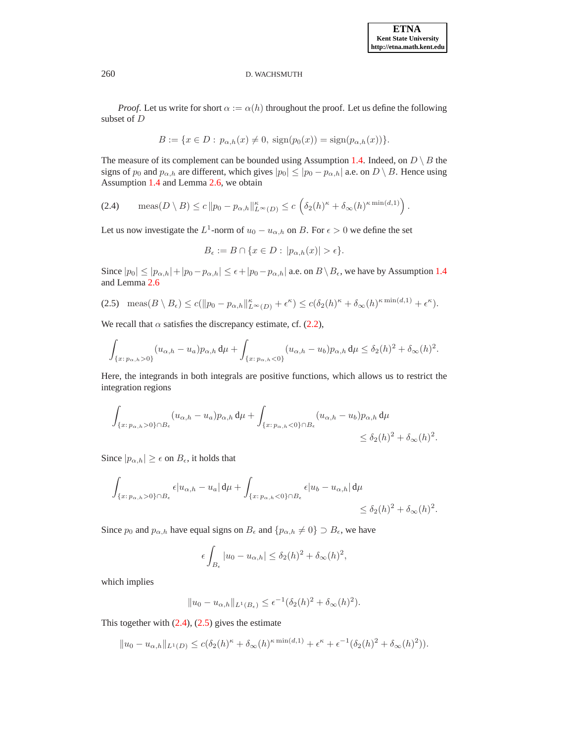**ETNA Kent State University http://etna.math.kent.edu**

*Proof.* Let us write for short  $\alpha := \alpha(h)$  throughout the proof. Let us define the following subset of D

$$
B := \{ x \in D : p_{\alpha,h}(x) \neq 0, \, \text{sign}(p_0(x)) = \text{sign}(p_{\alpha,h}(x)) \}.
$$

The measure of its complement can be bounded using Assumption [1.4.](#page-3-0) Indeed, on  $D \setminus B$  the signs of  $p_0$  and  $p_{\alpha,h}$  are different, which gives  $|p_0| \leq |p_0 - p_{\alpha,h}|$  a.e. on  $D \setminus B$ . Hence using Assumption [1.4](#page-3-0) and Lemma [2.6,](#page-10-1) we obtain

(2.4) meas $(D \setminus B) \le c \|p_0 - p_{\alpha,h}\|_{L^{\infty}(D)}^{\kappa} \le c \left( \delta_2(h)^{\kappa} + \delta_{\infty}(h)^{\kappa \min(d,1)} \right).$ 

Let us now investigate the  $L^1$ -norm of  $u_0 - u_{\alpha,h}$  on B. For  $\epsilon > 0$  we define the set

<span id="page-11-1"></span><span id="page-11-0"></span>
$$
B_{\epsilon} := B \cap \{x \in D : |p_{\alpha,h}(x)| > \epsilon\}.
$$

Since  $|p_0| \le |p_{\alpha,h}| + |p_0 - p_{\alpha,h}| \le \epsilon + |p_0 - p_{\alpha,h}|$  a.e. on  $B \setminus B_{\epsilon}$ , we have by Assumption [1.4](#page-3-0) and Lemma [2.6](#page-10-1)

$$
(2.5) \quad \text{meas}(B \setminus B_{\epsilon}) \le c(||p_0 - p_{\alpha,h}||_{L^{\infty}(D)}^{\kappa} + \epsilon^{\kappa}) \le c(\delta_2(h)^{\kappa} + \delta_{\infty}(h)^{\kappa \min(d,1)} + \epsilon^{\kappa}).
$$

We recall that  $\alpha$  satisfies the discrepancy estimate, cf. [\(2.2\)](#page-7-0),

$$
\int_{\{x:\,p_{\alpha,h}>0\}}(u_{\alpha,h}-u_a)p_{\alpha,h}\,\mathrm{d}\mu+\int_{\{x:\,p_{\alpha,h}<0\}}(u_{\alpha,h}-u_b)p_{\alpha,h}\,\mathrm{d}\mu\leq\delta_2(h)^2+\delta_\infty(h)^2.
$$

Here, the integrands in both integrals are positive functions, which allows us to restrict the integration regions

$$
\int_{\{x:\,p_{\alpha,h}>0\}\cap B_{\epsilon}}(u_{\alpha,h}-u_a)p_{\alpha,h}\,\mathrm{d}\mu+\int_{\{x:\,p_{\alpha,h}<0\}\cap B_{\epsilon}}(u_{\alpha,h}-u_b)p_{\alpha,h}\,\mathrm{d}\mu
$$
\n
$$
\leq \delta_2(h)^2+\delta_{\infty}(h)^2.
$$

Since  $|p_{\alpha,h}| \geq \epsilon$  on  $B_{\epsilon}$ , it holds that

$$
\int_{\{x:\,p_{\alpha,h}>0\}\cap B_{\epsilon}}\epsilon|u_{\alpha,h}-u_a|\,\mathrm{d}\mu+\int_{\{x:\,p_{\alpha,h}<0\}\cap B_{\epsilon}}\epsilon|u_b-u_{\alpha,h}|\,\mathrm{d}\mu
$$
\n
$$
\leq \delta_2(h)^2+\delta_{\infty}(h)^2.
$$

Since  $p_0$  and  $p_{\alpha,h}$  have equal signs on  $B_{\epsilon}$  and  $\{p_{\alpha,h} \neq 0\} \supset B_{\epsilon}$ , we have

$$
\epsilon \int_{B_{\epsilon}} |u_0 - u_{\alpha,h}| \leq \delta_2(h)^2 + \delta_{\infty}(h)^2
$$

,

which implies

$$
||u_0 - u_{\alpha,h}||_{L^1(B_\epsilon)} \le \epsilon^{-1} (\delta_2(h))^2 + \delta_\infty(h)^2).
$$

This together with  $(2.4)$ ,  $(2.5)$  gives the estimate

$$
||u_0 - u_{\alpha,h}||_{L^1(D)} \leq c(\delta_2(h)^{\kappa} + \delta_{\infty}(h)^{\kappa \min(d,1)} + \epsilon^{\kappa} + \epsilon^{-1}(\delta_2(h)^2 + \delta_{\infty}(h)^2)).
$$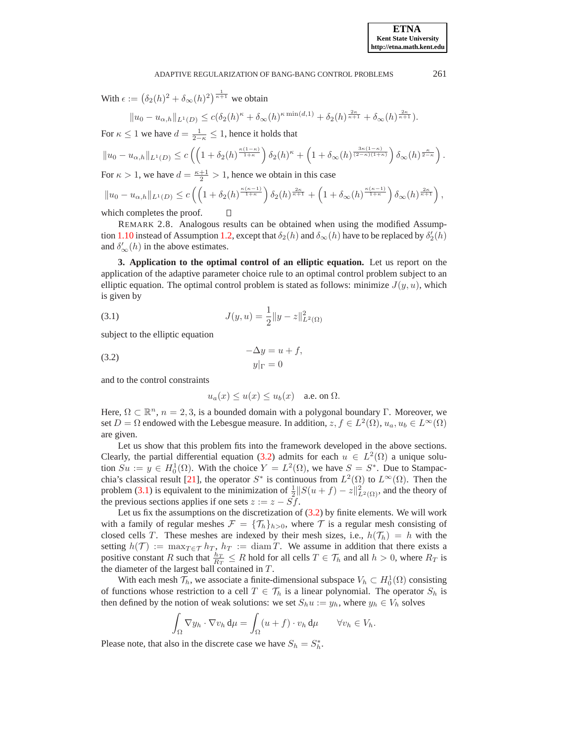With  $\epsilon := (\delta_2(h)^2 + \delta_\infty(h)^2)^{\frac{1}{\kappa+1}}$  we obtain

$$
||u_0 - u_{\alpha,h}||_{L^1(D)} \leq c(\delta_2(h)^{\kappa} + \delta_{\infty}(h)^{\kappa \min(d,1)} + \delta_2(h)^{\frac{2\kappa}{\kappa+1}} + \delta_{\infty}(h)^{\frac{2\kappa}{\kappa+1}}).
$$

For  $\kappa \leq 1$  we have  $d = \frac{1}{2-\kappa} \leq 1$ , hence it holds that

$$
||u_0 - u_{\alpha,h}||_{L^1(D)} \le c\left(\left(1 + \delta_2(h)^{\frac{\kappa(1-\kappa)}{1+\kappa}}\right)\delta_2(h)^\kappa + \left(1 + \delta_\infty(h)^{\frac{3\kappa(1-\kappa)}{(2-\kappa)(1+\kappa)}}\right)\delta_\infty(h)^{\frac{\kappa}{2-\kappa}}\right)
$$

For  $\kappa > 1$ , we have  $d = \frac{\kappa + 1}{2} > 1$ , hence we obtain in this case

$$
||u_0 - u_{\alpha,h}||_{L^1(D)} \le c \left( \left( 1 + \delta_2(h)^{\frac{\kappa(\kappa-1)}{1+\kappa}} \right) \delta_2(h)^{\frac{2\kappa}{\kappa+1}} + \left( 1 + \delta_\infty(h)^{\frac{\kappa(\kappa-1)}{1+\kappa}} \right) \delta_\infty(h)^{\frac{2\kappa}{\kappa+1}} \right),
$$
  
which completes the proof.  $\square$ 

<span id="page-12-2"></span>which completes the proof.

REMARK 2.8. Analogous results can be obtained when using the modified Assump-tion [1.10](#page-6-0) instead of Assumption [1.2,](#page-2-1) except that  $\delta_2(h)$  and  $\delta_\infty(h)$  have to be replaced by  $\delta_2'(h)$ and  $\delta'_{\infty}(h)$  in the above estimates.

**3. Application to the optimal control of an elliptic equation.** Let us report on the application of the adaptive parameter choice rule to an optimal control problem subject to an elliptic equation. The optimal control problem is stated as follows: minimize  $J(y, u)$ , which is given by

<span id="page-12-1"></span>(3.1) 
$$
J(y, u) = \frac{1}{2} ||y - z||_{L^2(\Omega)}^2
$$

subject to the elliptic equation

$$
-\Delta y = u + f,
$$
  
(3.2) 
$$
y|_{\Gamma} = 0
$$

and to the control constraints

<span id="page-12-0"></span>
$$
u_a(x) \le u(x) \le u_b(x) \quad \text{a.e. on } \Omega.
$$

Here,  $\Omega \subset \mathbb{R}^n$ ,  $n = 2, 3$ , is a bounded domain with a polygonal boundary Γ. Moreover, we set  $D = \Omega$  endowed with the Lebesgue measure. In addition,  $z, f \in L^2(\Omega)$ ,  $u_a, u_b \in L^{\infty}(\Omega)$ are given.

Let us show that this problem fits into the framework developed in the above sections. Clearly, the partial differential equation [\(3.2\)](#page-12-0) admits for each  $u \in L^2(\Omega)$  a unique solution  $Su := y \in H_0^1(\Omega)$ . With the choice  $Y = L^2(\Omega)$ , we have  $S = S^*$ . Due to Stampac-chia's classical result [\[21\]](#page-17-19), the operator  $S^*$  is continuous from  $L^2(\Omega)$  to  $L^{\infty}(\Omega)$ . Then the problem [\(3.1\)](#page-12-1) is equivalent to the minimization of  $\frac{1}{2}||S(u+f) - z||^2_{L^2(\Omega)}$ , and the theory of the previous sections applies if one sets  $z := z - Sf$ .

Let us fix the assumptions on the discretization of [\(3.2\)](#page-12-0) by finite elements. We will work with a family of regular meshes  $\mathcal{F} = {\mathcal{T}_h}_{h>0}$ , where  $\mathcal T$  is a regular mesh consisting of closed cells T. These meshes are indexed by their mesh sizes, i.e.,  $h(\mathcal{T}_h) = h$  with the setting  $h(\mathcal{T}) := \max_{T \in \mathcal{T}} h_T$ ,  $h_T := \text{diam } T$ . We assume in addition that there exists a positive constant R such that  $\frac{h_T}{R_T} \le R$  hold for all cells  $T \in \mathcal{T}_h$  and all  $h > 0$ , where  $R_T$  is the diameter of the largest ball contained in T.

With each mesh  $\mathcal{T}_h$ , we associate a finite-dimensional subspace  $V_h \subset H_0^1(\Omega)$  consisting of functions whose restriction to a cell  $T \in \mathcal{T}_h$  is a linear polynomial. The operator  $S_h$  is then defined by the notion of weak solutions: we set  $S_h u := y_h$ , where  $y_h \in V_h$  solves

$$
\int_{\Omega} \nabla y_h \cdot \nabla v_h \, \mathrm{d}\mu = \int_{\Omega} (u+f) \cdot v_h \, \mathrm{d}\mu \qquad \forall v_h \in V_h.
$$

Please note, that also in the discrete case we have  $S_h = S_h^*$ .

.

**ETNA Kent State University http://etna.math.kent.edu**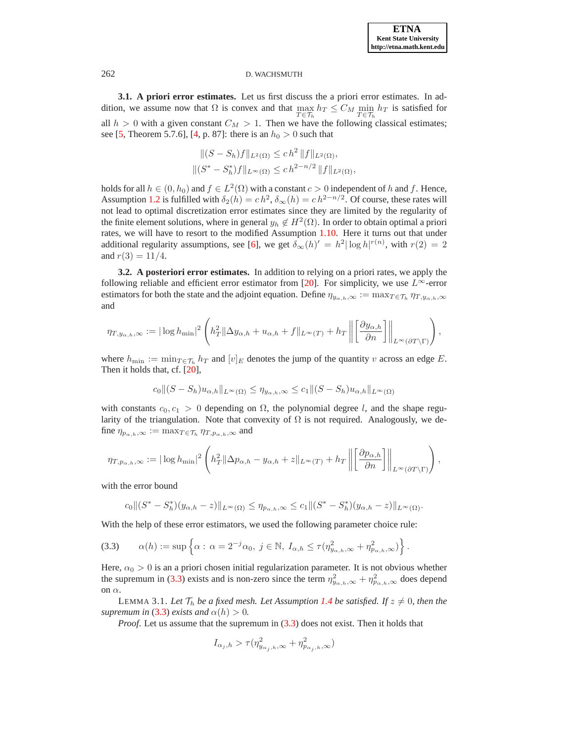**3.1. A priori error estimates.** Let us first discuss the a priori error estimates. In addition, we assume now that  $\Omega$  is convex and that  $\max_{T \in \mathcal{T}_h} h_T \leq C_M \min_{T \in \mathcal{T}_h} h_T$  is satisfied for all  $h > 0$  with a given constant  $C_M > 1$ . Then we have the following classical estimates; see [\[5,](#page-17-20) Theorem 5.7.6], [\[4,](#page-17-21) p. 87]: there is an  $h_0 > 0$  such that

$$
||(S - S_h)f||_{L^2(\Omega)} \le ch^2 ||f||_{L^2(\Omega)},
$$
  

$$
||(S^* - S_h^*)f||_{L^{\infty}(\Omega)} \le ch^{2-n/2} ||f||_{L^2(\Omega)},
$$

holds for all  $h \in (0, h_0)$  and  $f \in L^2(\Omega)$  with a constant  $c > 0$  independent of h and f. Hence, Assumption [1.2](#page-2-1) is fulfilled with  $\delta_2(h) = c h^2$ ,  $\delta_{\infty}(h) = c h^{2-n/2}$ . Of course, these rates will not lead to optimal discretization error estimates since they are limited by the regularity of the finite element solutions, where in general  $y_h \notin H^2(\Omega)$ . In order to obtain optimal a priori rates, we will have to resort to the modified Assumption [1.10.](#page-6-0) Here it turns out that under additional regularity assumptions, see [\[6\]](#page-17-3), we get  $\delta_{\infty}(h)' = h^2 |\log h|^{r(n)}$ , with  $r(2) = 2$ and  $r(3) = 11/4$ .

<span id="page-13-0"></span>**3.2. A posteriori error estimates.** In addition to relying on a priori rates, we apply the following reliable and efficient error estimator from [\[20\]](#page-17-22). For simplicity, we use  $L^{\infty}$ -error estimators for both the state and the adjoint equation. Define  $\eta_{y_{\alpha,h},\infty} := \max_{T \in \mathcal{T}_h} \eta_{T,y_{\alpha,h},\infty}$ and

$$
\eta_{T,y_{\alpha,h},\infty} := |\log h_{\min}|^2 \left( h_T^2 \|\Delta y_{\alpha,h} + u_{\alpha,h} + f\|_{L^\infty(T)} + h_T \left\| \left[ \frac{\partial y_{\alpha,h}}{\partial n} \right] \right\|_{L^\infty(\partial T \setminus \Gamma)} \right),
$$

where  $h_{\min} := \min_{T \in \mathcal{T}_h} h_T$  and  $[v]_E$  denotes the jump of the quantity v across an edge E. Then it holds that, cf. [\[20\]](#page-17-22),

$$
c_0 \|(S - S_h)u_{\alpha,h}\|_{L^{\infty}(\Omega)} \le \eta_{y_{\alpha,h},\infty} \le c_1 \|(S - S_h)u_{\alpha,h}\|_{L^{\infty}(\Omega)}
$$

with constants  $c_0, c_1 > 0$  depending on  $\Omega$ , the polynomial degree l, and the shape regularity of the triangulation. Note that convexity of  $\Omega$  is not required. Analogously, we define  $\eta_{p_{\alpha,h},\infty} := \max_{T \in \mathcal{T}_h} \eta_{T,p_{\alpha,h},\infty}$  and

$$
\eta_{T,p_{\alpha,h},\infty} := |\log h_{\min}|^2 \left( h_T^2 \|\Delta p_{\alpha,h} - y_{\alpha,h} + z\|_{L^\infty(T)} + h_T \left\| \left[ \frac{\partial p_{\alpha,h}}{\partial n} \right] \right\|_{L^\infty(\partial T \setminus \Gamma)} \right),
$$

with the error bound

$$
c_0\|(S^*-S^*_h)(y_{\alpha,h}-z)\|_{L^{\infty}(\Omega)} \leq \eta_{p_{\alpha,h},\infty} \leq c_1\|(S^*-S^*_h)(y_{\alpha,h}-z)\|_{L^{\infty}(\Omega)}.
$$

With the help of these error estimators, we used the following parameter choice rule:

$$
(3.3) \qquad \alpha(h) := \sup \left\{ \alpha : \alpha = 2^{-j} \alpha_0, \ j \in \mathbb{N}, \ I_{\alpha,h} \leq \tau(\eta_{y_{\alpha,h},\infty}^2 + \eta_{p_{\alpha,h},\infty}^2) \right\}.
$$

Here,  $\alpha_0 > 0$  is an a priori chosen initial regularization parameter. It is not obvious whether the supremum in [\(3.3\)](#page-13-1) exists and is non-zero since the term  $\eta_{y_{\alpha,h},\infty}^2 + \eta_{p_{\alpha,h},\infty}^2$  does depend on  $\alpha$ .

LEMMA 3.1. Let  $\mathcal{T}_h$  *be a fixed mesh. Let Assumption [1.4](#page-3-0) be satisfied. If*  $z \neq 0$ *, then the supremum in* [\(3.3\)](#page-13-1) *exists and*  $\alpha(h) > 0$ *.* 

*Proof.* Let us assume that the supremum in  $(3.3)$  does not exist. Then it holds that

<span id="page-13-1"></span>
$$
I_{\alpha_j,h} > \tau(\eta_{y_{\alpha_j,h},\infty}^2 + \eta_{p_{\alpha_j,h},\infty}^2)
$$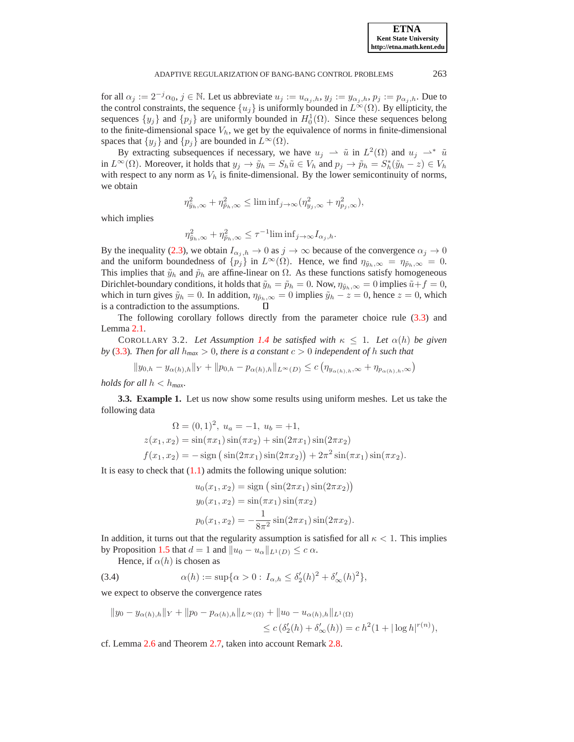for all  $\alpha_j := 2^{-j} \alpha_0, j \in \mathbb{N}$ . Let us abbreviate  $u_j := u_{\alpha_j,h}, y_j := y_{\alpha_j,h}, p_j := p_{\alpha_j,h}$ . Due to the control constraints, the sequence  $\{u_j\}$  is uniformly bounded in  $L^{\infty}(\Omega)$ . By ellipticity, the sequences  $\{y_j\}$  and  $\{p_j\}$  are uniformly bounded in  $H_0^1(\Omega)$ . Since these sequences belong to the finite-dimensional space  $V_h$ , we get by the equivalence of norms in finite-dimensional spaces that  $\{y_j\}$  and  $\{p_j\}$  are bounded in  $L^{\infty}(\Omega)$ .

By extracting subsequences if necessary, we have  $u_j \rightharpoonup \tilde{u}$  in  $L^2(\Omega)$  and  $u_j \rightharpoonup^* \tilde{u}$ in  $L^{\infty}(\Omega)$ . Moreover, it holds that  $y_j \to \tilde{y}_h = S_h \tilde{u} \in V_h$  and  $p_j \to \tilde{p}_h = S_h^*(\tilde{y}_h - z) \in V_h$ with respect to any norm as  $V_h$  is finite-dimensional. By the lower semicontinuity of norms, we obtain

$$
\eta_{\tilde{y}_h,\infty}^2+\eta_{\tilde{p}_h,\infty}^2\leq \liminf_{j\to\infty}(\eta_{y_j,\infty}^2+\eta_{p_j,\infty}^2),
$$

which implies

$$
\eta_{\tilde{y}_h,\infty}^2 + \eta_{\tilde{p}_h,\infty}^2 \le \tau^{-1} \liminf_{j \to \infty} I_{\alpha_j,h}.
$$

By the inequality [\(2.3\)](#page-8-0), we obtain  $I_{\alpha_j,h} \to 0$  as  $j \to \infty$  because of the convergence  $\alpha_j \to 0$ and the uniform boundedness of  $\{p_j\}$  in  $L^{\infty}(\Omega)$ . Hence, we find  $\eta_{\tilde{y}_h,\infty} = \eta_{\tilde{p}_h,\infty} = 0$ . This implies that  $\tilde{y}_h$  and  $\tilde{p}_h$  are affine-linear on  $\Omega$ . As these functions satisfy homogeneous Dirichlet-boundary conditions, it holds that  $\tilde{y}_h = \tilde{p}_h = 0$ . Now,  $\eta_{\tilde{y}_h, \infty} = 0$  implies  $\tilde{u} + f = 0$ , which in turn gives  $\tilde{y}_h = 0$ . In addition,  $\eta_{\tilde{p}_h,\infty} = 0$  implies  $\tilde{y}_h - z = 0$ , hence  $z = 0$ , which is a contradiction to the assumptions.

The following corollary follows directly from the parameter choice rule [\(3.3\)](#page-13-1) and Lemma [2.1.](#page-7-2)

COROLLARY 3.2. Let Assumption [1.4](#page-3-0) be satisfied with  $\kappa \leq 1$ . Let  $\alpha(h)$  be given *by* [\(3.3\)](#page-13-1)*. Then for all*  $h_{max} > 0$ *, there is a constant*  $c > 0$  *independent of*  $h$  *such that* 

$$
||y_{0,h} - y_{\alpha(h),h}||_Y + ||p_{0,h} - p_{\alpha(h),h}||_{L^{\infty}(D)} \le c \left(\eta_{y_{\alpha(h),h},\infty} + \eta_{p_{\alpha(h),h},\infty}\right)
$$

*holds for all*  $h < h_{max}$ .

**3.3. Example 1.** Let us now show some results using uniform meshes. Let us take the following data

$$
\Omega = (0, 1)^2, u_a = -1, u_b = +1,
$$
  
\n
$$
z(x_1, x_2) = \sin(\pi x_1) \sin(\pi x_2) + \sin(2\pi x_1) \sin(2\pi x_2)
$$
  
\n
$$
f(x_1, x_2) = -\operatorname{sign}(\sin(2\pi x_1) \sin(2\pi x_2)) + 2\pi^2 \sin(\pi x_1) \sin(\pi x_2).
$$

It is easy to check that  $(1.1)$  admits the following unique solution:

<span id="page-14-0"></span>
$$
u_0(x_1, x_2) = \text{sign}(\sin(2\pi x_1)\sin(2\pi x_2))
$$
  
\n
$$
y_0(x_1, x_2) = \sin(\pi x_1)\sin(\pi x_2)
$$
  
\n
$$
p_0(x_1, x_2) = -\frac{1}{8\pi^2}\sin(2\pi x_1)\sin(2\pi x_2).
$$

In addition, it turns out that the regularity assumption is satisfied for all  $\kappa < 1$ . This implies by Proposition [1.5](#page-3-1) that  $d = 1$  and  $||u_0 - u_\alpha||_{L^1(D)} \leq c \alpha$ .

Hence, if  $\alpha(h)$  is chosen as

(3.4)  $\alpha(h) := \sup \{ \alpha > 0 : I_{\alpha,h} \leq \delta_2'(h)^2 + \delta_\infty'(h)^2 \},$ 

we expect to observe the convergence rates

$$
||y_0 - y_{\alpha(h),h}||_Y + ||p_0 - p_{\alpha(h),h}||_{L^{\infty}(\Omega)} + ||u_0 - u_{\alpha(h),h}||_{L^1(\Omega)}
$$
  

$$
\leq c \left(\delta_2'(h) + \delta_{\infty}'(h)\right) = c h^2 (1 + |\log h|^{r(n)}),
$$

cf. Lemma [2.6](#page-10-1) and Theorem [2.7,](#page-10-0) taken into account Remark [2.8.](#page-12-2)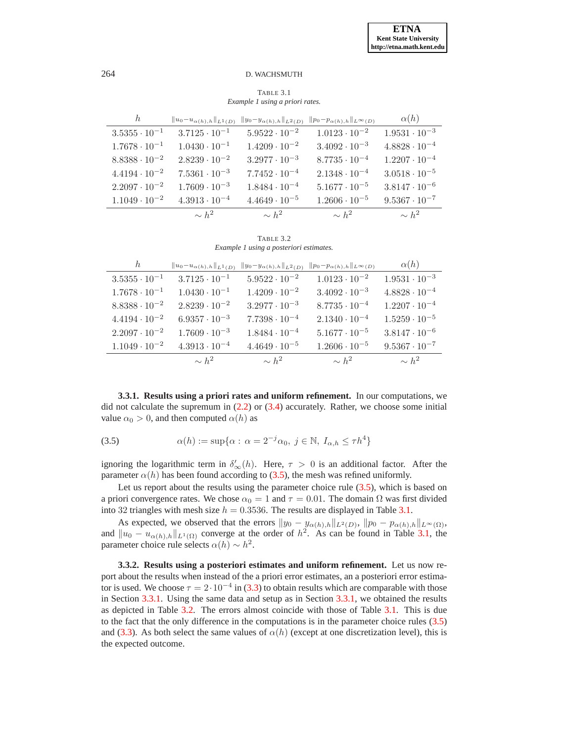<span id="page-15-1"></span>TABLE 3.1 *Example 1 using a priori rates.*

| h                      | $  u_0-u_{\alpha(h),h}  _{L^1(D)}$ | $  y_0-y_{\alpha(h),h}  _{L^2(D)}$ | $  p_0 - p_{\alpha(h),h}  _{L^{\infty}(D)}$ | $\alpha(h)$            |
|------------------------|------------------------------------|------------------------------------|---------------------------------------------|------------------------|
| $3.5355 \cdot 10^{-1}$ | $3.7125 \cdot 10^{-1}$             | $5.9522 \cdot 10^{-2}$             | $1.0123 \cdot 10^{-2}$                      | $1.9531 \cdot 10^{-3}$ |
| $1.7678 \cdot 10^{-1}$ | $1.0430 \cdot 10^{-1}$             | $1.4209 \cdot 10^{-2}$             | $3.4092 \cdot 10^{-3}$                      | $4.8828 \cdot 10^{-4}$ |
| $8.8388 \cdot 10^{-2}$ | $2.8239 \cdot 10^{-2}$             | $3.2977 \cdot 10^{-3}$             | $8.7735 \cdot 10^{-4}$                      | $1.2207 \cdot 10^{-4}$ |
| $4.4194 \cdot 10^{-2}$ | $7.5361 \cdot 10^{-3}$             | $7.7452 \cdot 10^{-4}$             | $2.1348 \cdot 10^{-4}$                      | $3.0518 \cdot 10^{-5}$ |
| $2.2097 \cdot 10^{-2}$ | $1.7609 \cdot 10^{-3}$             | $1.8484 \cdot 10^{-4}$             | $5.1677 \cdot 10^{-5}$                      | $3.8147 \cdot 10^{-6}$ |
| $1.1049 \cdot 10^{-2}$ | $4.3913 \cdot 10^{-4}$             | $4.4649 \cdot 10^{-5}$             | $1.2606 \cdot 10^{-5}$                      | $9.5367 \cdot 10^{-7}$ |
|                        | $\sim h^2$                         | $\sim h^2$                         | $\sim h^2$                                  | $\sim h^2$             |

<span id="page-15-3"></span>TABLE 3.2 *Example 1 using a posteriori estimates.*

| h                      | $  u_0-u_{\alpha(h),h}  _{L^1(D)}$ | $  y_0-y_{\alpha(h),h}  _{L^2(D)}$ | $  p_0 - p_{\alpha(h),h}  _{L^{\infty}(D)}$ | $\alpha(h)$            |
|------------------------|------------------------------------|------------------------------------|---------------------------------------------|------------------------|
| $3.5355 \cdot 10^{-1}$ | $3.7125 \cdot 10^{-1}$             | $5.9522 \cdot 10^{-2}$             | $1.0123 \cdot 10^{-2}$                      | $1.9531 \cdot 10^{-3}$ |
| $1.7678 \cdot 10^{-1}$ | $1.0430 \cdot 10^{-1}$             | $1.4209 \cdot 10^{-2}$             | $3.4092 \cdot 10^{-3}$                      | $4.8828 \cdot 10^{-4}$ |
| $8.8388 \cdot 10^{-2}$ | $2.8239 \cdot 10^{-2}$             | $3.2977 \cdot 10^{-3}$             | $8.7735 \cdot 10^{-4}$                      | $1.2207 \cdot 10^{-4}$ |
| $4.4194 \cdot 10^{-2}$ | $6.9357 \cdot 10^{-3}$             | $7.7398 \cdot 10^{-4}$             | $2.1340 \cdot 10^{-4}$                      | $1.5259 \cdot 10^{-5}$ |
| $2.2097 \cdot 10^{-2}$ | $1.7609 \cdot 10^{-3}$             | $1.8484 \cdot 10^{-4}$             | $5.1677 \cdot 10^{-5}$                      | $3.8147 \cdot 10^{-6}$ |
| $1.1049 \cdot 10^{-2}$ | $4.3913 \cdot 10^{-4}$             | $4.4649 \cdot 10^{-5}$             | $1.2606 \cdot 10^{-5}$                      | $9.5367 \cdot 10^{-7}$ |
|                        | $\sim h^2$                         | $\sim h^2$                         | $\sim h^2$                                  | $\sim h^2$             |

<span id="page-15-2"></span>**3.3.1. Results using a priori rates and uniform refinement.** In our computations, we did not calculate the supremum in  $(2.2)$  or  $(3.4)$  accurately. Rather, we choose some initial value  $\alpha_0 > 0$ , and then computed  $\alpha(h)$  as

<span id="page-15-0"></span>(3.5) 
$$
\alpha(h) := \sup \{ \alpha : \alpha = 2^{-j} \alpha_0, j \in \mathbb{N}, I_{\alpha, h} \le \tau h^4 \}
$$

ignoring the logarithmic term in  $\delta'_{\infty}(h)$ . Here,  $\tau > 0$  is an additional factor. After the parameter  $\alpha(h)$  has been found according to [\(3.5\)](#page-15-0), the mesh was refined uniformly.

Let us report about the results using the parameter choice rule  $(3.5)$ , which is based on a priori convergence rates. We chose  $\alpha_0 = 1$  and  $\tau = 0.01$ . The domain  $\Omega$  was first divided into 32 triangles with mesh size  $h = 0.3536$ . The results are displayed in Table [3.1.](#page-15-1)

As expected, we observed that the errors  $||y_0 - y_{\alpha(h),h}||_{L^2(D)}$ ,  $||p_0 - p_{\alpha(h),h}||_{L^{\infty}(\Omega)}$ , and  $||u_0 - u_{\alpha(h),h}||_{L^1(\Omega)}$  converge at the order of  $h^2$ . As can be found in Table [3.1,](#page-15-1) the parameter choice rule selects  $\alpha(h) \sim h^2$ .

<span id="page-15-4"></span>**3.3.2. Results using a posteriori estimates and uniform refinement.** Let us now report about the results when instead of the a priori error estimates, an a posteriori error estimator is used. We choose  $\tau = 2 \cdot 10^{-4}$  in [\(3.3\)](#page-13-1) to obtain results which are comparable with those in Section [3.3.1.](#page-15-2) Using the same data and setup as in Section [3.3.1,](#page-15-2) we obtained the results as depicted in Table [3.2.](#page-15-3) The errors almost coincide with those of Table [3.1.](#page-15-1) This is due to the fact that the only difference in the computations is in the parameter choice rules [\(3.5\)](#page-15-0) and [\(3.3\)](#page-13-1). As both select the same values of  $\alpha(h)$  (except at one discretization level), this is the expected outcome.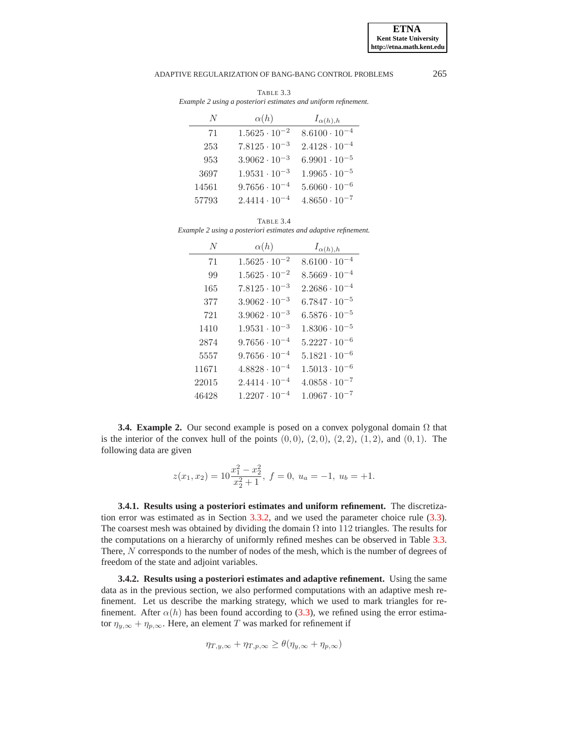### ADAPTIVE REGULARIZATION OF BANG-BANG CONTROL PROBLEMS 265

<span id="page-16-0"></span>

| N     | $\alpha(h)$            | $I_{\alpha(h),h}$      |
|-------|------------------------|------------------------|
| 71    | $1.5625 \cdot 10^{-2}$ | $8.6100 \cdot 10^{-4}$ |
| 253   | $7.8125 \cdot 10^{-3}$ | $2.4128 \cdot 10^{-4}$ |
| 953   | $3.9062 \cdot 10^{-3}$ | $6.9901 \cdot 10^{-5}$ |
| 3697  | $1.9531 \cdot 10^{-3}$ | $1.9965 \cdot 10^{-5}$ |
| 14561 | $9.7656\cdot10^{-4}$   | $5.6060 \cdot 10^{-6}$ |
| 57793 | $2.4414 \cdot 10^{-4}$ | $4.8650 \cdot 10^{-7}$ |

TABLE 3.3 *Example 2 using a posteriori estimates and uniform refinement.*

TABLE 3.4

<span id="page-16-1"></span>*Example 2 using a posteriori estimates and adaptive refinement.*

| N     | $\alpha(h)$            | $I_{\alpha(h),h}$      |
|-------|------------------------|------------------------|
| 71    | $1.5625 \cdot 10^{-2}$ | $8.6100 \cdot 10^{-4}$ |
| 99    | $1.5625 \cdot 10^{-2}$ | $8.5669 \cdot 10^{-4}$ |
| 165   | $7.8125 \cdot 10^{-3}$ | $2.2686 \cdot 10^{-4}$ |
| 377   | $3.9062 \cdot 10^{-3}$ | $6.7847 \cdot 10^{-5}$ |
| 721   | $3.9062 \cdot 10^{-3}$ | $6.5876 \cdot 10^{-5}$ |
| 1410  | $1.9531 \cdot 10^{-3}$ | $1.8306 \cdot 10^{-5}$ |
| 2874  | $9.7656 \cdot 10^{-4}$ | $5.2227 \cdot 10^{-6}$ |
| 5557  | $9.7656 \cdot 10^{-4}$ | $5.1821 \cdot 10^{-6}$ |
| 11671 | $4.8828 \cdot 10^{-4}$ | $1.5013 \cdot 10^{-6}$ |
| 22015 | $2.4414 \cdot 10^{-4}$ | $4.0858 \cdot 10^{-7}$ |
| 46428 | $1.2207 \cdot 10^{-4}$ | $1.0967 \cdot 10^{-7}$ |

**3.4. Example 2.** Our second example is posed on a convex polygonal domain  $\Omega$  that is the interior of the convex hull of the points  $(0, 0)$ ,  $(2, 0)$ ,  $(2, 2)$ ,  $(1, 2)$ , and  $(0, 1)$ . The following data are given

$$
z(x_1, x_2) = 10 \frac{x_1^2 - x_2^2}{x_2^2 + 1}, f = 0, u_a = -1, u_b = +1.
$$

**3.4.1. Results using a posteriori estimates and uniform refinement.** The discretization error was estimated as in Section [3.3.2,](#page-15-4) and we used the parameter choice rule [\(3.3\)](#page-13-1). The coarsest mesh was obtained by dividing the domain  $\Omega$  into 112 triangles. The results for the computations on a hierarchy of uniformly refined meshes can be observed in Table [3.3.](#page-16-0) There, N corresponds to the number of nodes of the mesh, which is the number of degrees of freedom of the state and adjoint variables.

**3.4.2. Results using a posteriori estimates and adaptive refinement.** Using the same data as in the previous section, we also performed computations with an adaptive mesh refinement. Let us describe the marking strategy, which we used to mark triangles for refinement. After  $\alpha(h)$  has been found according to [\(3.3\)](#page-13-1), we refined using the error estimator  $\eta_{y,\infty} + \eta_{p,\infty}$ . Here, an element T was marked for refinement if

$$
\eta_{T,y,\infty} + \eta_{T,p,\infty} \ge \theta(\eta_{y,\infty} + \eta_{p,\infty})
$$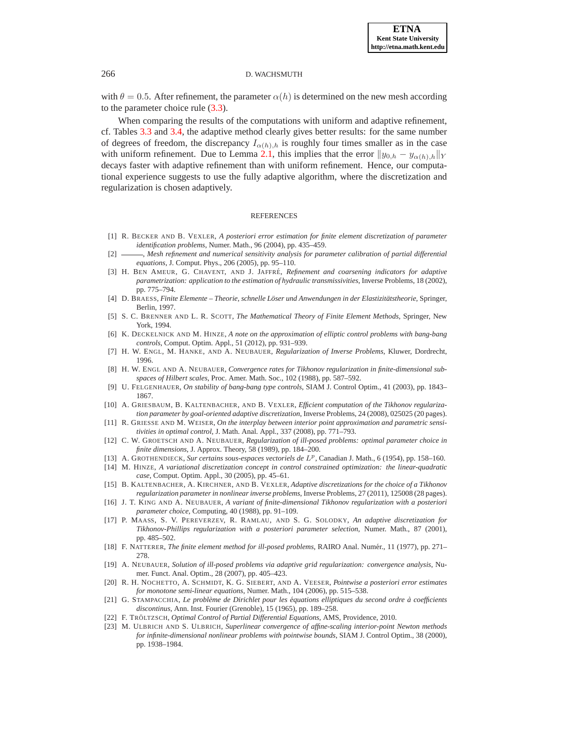with  $\theta = 0.5$ . After refinement, the parameter  $\alpha(h)$  is determined on the new mesh according to the parameter choice rule [\(3.3\)](#page-13-1).

When comparing the results of the computations with uniform and adaptive refinement, cf. Tables [3.3](#page-16-0) and [3.4,](#page-16-1) the adaptive method clearly gives better results: for the same number of degrees of freedom, the discrepancy  $I_{\alpha(h),h}$  is roughly four times smaller as in the case with uniform refinement. Due to Lemma [2.1,](#page-7-2) this implies that the error  $||y_{0,h} - y_{\alpha(h),h}||_Y$ decays faster with adaptive refinement than with uniform refinement. Hence, our computational experience suggests to use the fully adaptive algorithm, where the discretization and regularization is chosen adaptively.

### **REFERENCES**

- <span id="page-17-11"></span>[1] R. BECKER AND B. VEXLER, *A posteriori error estimation for finite element discretization of parameter identification problems*, Numer. Math., 96 (2004), pp. 435–459.
- <span id="page-17-12"></span>[2] , *Mesh refinement and numerical sensitivity analysis for parameter calibration of partial differential equations*, J. Comput. Phys., 206 (2005), pp. 95–110.
- <span id="page-17-10"></span>[3] H. BEN AMEUR, G. CHAVENT, AND J. JAFFRE´, *Refinement and coarsening indicators for adaptive parametrization: application to the estimation of hydraulic transmissivities*, Inverse Problems, 18 (2002), pp. 775–794.
- <span id="page-17-21"></span>[4] D. BRAESS, *Finite Elemente – Theorie, schnelle Loser und Anwendungen in der Elastizit ¨ atstheorie ¨* , Springer, Berlin, 1997.
- <span id="page-17-20"></span>[5] S. C. BRENNER AND L. R. SCOTT, *The Mathematical Theory of Finite Element Methods*, Springer, New York, 1994.
- <span id="page-17-3"></span>[6] K. DECKELNICK AND M. HINZE, *A note on the approximation of elliptic control problems with bang-bang controls*, Comput. Optim. Appl., 51 (2012), pp. 931–939.
- <span id="page-17-5"></span><span id="page-17-0"></span>[7] H. W. ENGL, M. HANKE, AND A. NEUBAUER, *Regularization of Inverse Problems*, Kluwer, Dordrecht, 1996.
- [8] H. W. ENGL AND A. NEUBAUER, *Convergence rates for Tikhonov regularization in finite-dimensional subspaces of Hilbert scales*, Proc. Amer. Math. Soc., 102 (1988), pp. 587–592.
- <span id="page-17-16"></span><span id="page-17-13"></span>[9] U. FELGENHAUER, *On stability of bang-bang type controls*, SIAM J. Control Optim., 41 (2003), pp. 1843– 1867.
- [10] A. GRIESBAUM, B. KALTENBACHER, AND B. VEXLER, *Efficient computation of the Tikhonov regularization parameter by goal-oriented adaptive discretization*, Inverse Problems, 24 (2008), 025025 (20 pages).
- <span id="page-17-17"></span>[11] R. GRIESSE AND M. WEISER, *On the interplay between interior point approximation and parametric sensitivities in optimal control*, J. Math. Anal. Appl., 337 (2008), pp. 771–793.
- <span id="page-17-6"></span>[12] C. W. GROETSCH AND A. NEUBAUER, *Regularization of ill-posed problems: optimal parameter choice in finite dimensions*, J. Approx. Theory, 58 (1989), pp. 184–200.
- <span id="page-17-15"></span><span id="page-17-2"></span>[13] A. GROTHENDIECK, *Sur certains sous-espaces vectoriels de* Lp, Canadian J. Math., 6 (1954), pp. 158–160.
- [14] M. HINZE, *A variational discretization concept in control constrained optimization: the linear-quadratic case*, Comput. Optim. Appl., 30 (2005), pp. 45–61.
- <span id="page-17-14"></span>[15] B. KALTENBACHER, A. KIRCHNER, AND B. VEXLER, *Adaptive discretizations for the choice of a Tikhonov regularization parameter in nonlinear inverse problems*, Inverse Problems, 27 (2011), 125008 (28 pages).
- <span id="page-17-7"></span>[16] J. T. KING AND A. NEUBAUER, *A variant of finite-dimensional Tikhonov regularization with a posteriori parameter choice*, Computing, 40 (1988), pp. 91–109.
- <span id="page-17-8"></span>[17] P. MAASS, S. V. PEREVERZEV, R. RAMLAU, AND S. G. SOLODKY, *An adaptive discretization for Tikhonov-Phillips regularization with a posteriori parameter selection*, Numer. Math., 87 (2001), pp. 485–502.
- <span id="page-17-4"></span>[18] F. NATTERER, *The finite element method for ill-posed problems*, RAIRO Anal. Numer., 11 (1977), pp. 271– ´ 278.
- <span id="page-17-9"></span>[19] A. NEUBAUER, *Solution of ill-posed problems via adaptive grid regularization: convergence analysis*, Numer. Funct. Anal. Optim., 28 (2007), pp. 405–423.
- <span id="page-17-22"></span>[20] R. H. NOCHETTO, A. SCHMIDT, K. G. SIEBERT, AND A. VEESER, *Pointwise a posteriori error estimates for monotone semi-linear equations*, Numer. Math., 104 (2006), pp. 515–538.
- <span id="page-17-19"></span>[21] G. STAMPACCHIA, *Le probleme de Dirichlet pour les ` equations elliptiques du second ordre ´ a coefficients ` discontinus*, Ann. Inst. Fourier (Grenoble), 15 (1965), pp. 189–258.
- <span id="page-17-18"></span><span id="page-17-1"></span>[22] F. TRÖLTZSCH, *Optimal Control of Partial Differential Equations*, AMS, Providence, 2010.
- [23] M. ULBRICH AND S. ULBRICH, *Superlinear convergence of affine-scaling interior-point Newton methods for infinite-dimensional nonlinear problems with pointwise bounds*, SIAM J. Control Optim., 38 (2000), pp. 1938–1984.